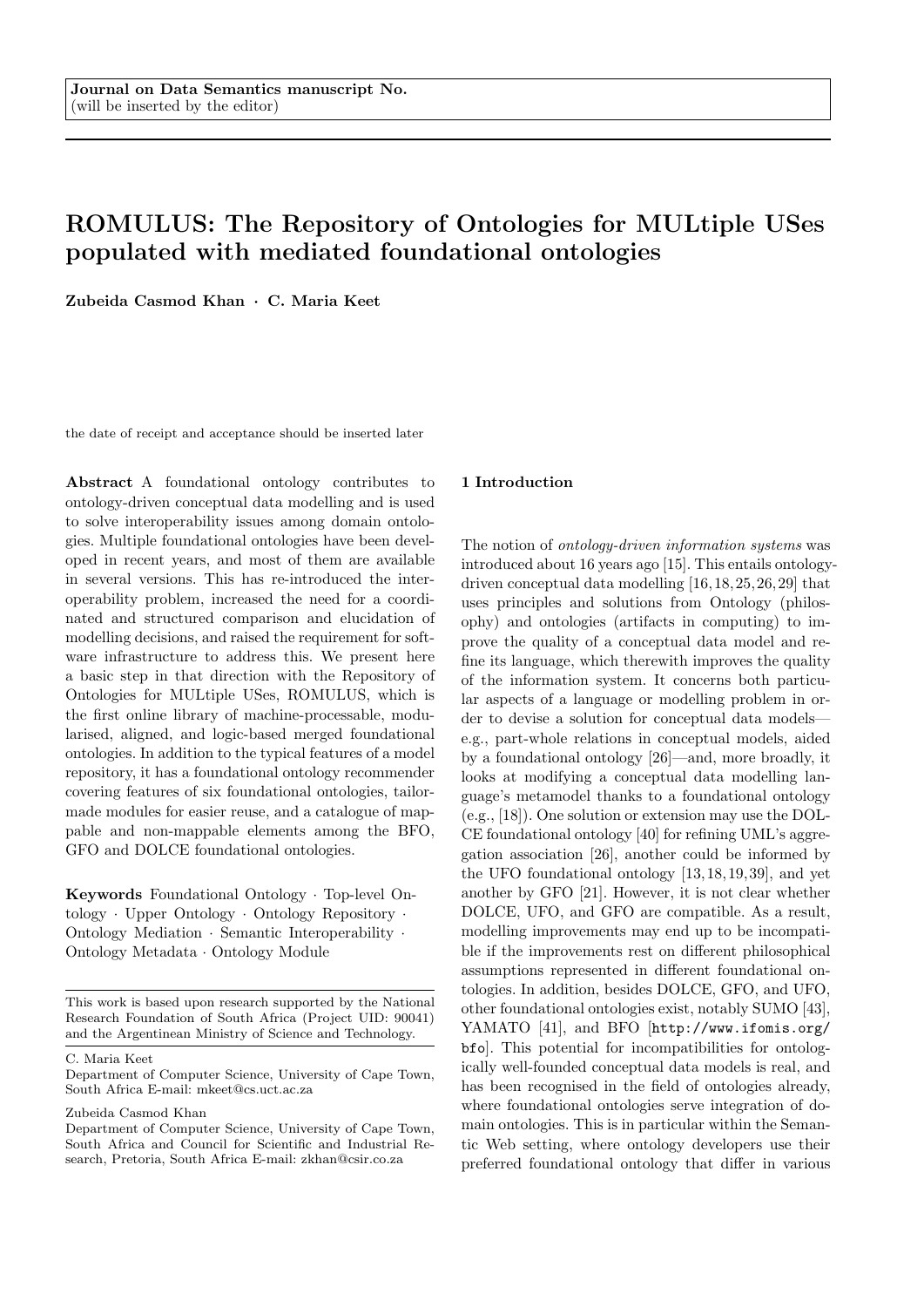# ROMULUS: The Repository of Ontologies for MULtiple USes populated with mediated foundational ontologies

Zubeida Casmod Khan · C. Maria Keet

the date of receipt and acceptance should be inserted later

Abstract A foundational ontology contributes to ontology-driven conceptual data modelling and is used to solve interoperability issues among domain ontologies. Multiple foundational ontologies have been developed in recent years, and most of them are available in several versions. This has re-introduced the interoperability problem, increased the need for a coordinated and structured comparison and elucidation of modelling decisions, and raised the requirement for software infrastructure to address this. We present here a basic step in that direction with the Repository of Ontologies for MULtiple USes, ROMULUS, which is the first online library of machine-processable, modularised, aligned, and logic-based merged foundational ontologies. In addition to the typical features of a model repository, it has a foundational ontology recommender covering features of six foundational ontologies, tailormade modules for easier reuse, and a catalogue of mappable and non-mappable elements among the BFO, GFO and DOLCE foundational ontologies.

Keywords Foundational Ontology · Top-level Ontology · Upper Ontology · Ontology Repository · Ontology Mediation · Semantic Interoperability · Ontology Metadata · Ontology Module

This work is based upon research supported by the National Research Foundation of South Africa (Project UID: 90041) and the Argentinean Ministry of Science and Technology.

C. Maria Keet

## Zubeida Casmod Khan

# 1 Introduction

The notion of ontology-driven information systems was introduced about 16 years ago [15]. This entails ontologydriven conceptual data modelling [16, 18, 25, 26, 29] that uses principles and solutions from Ontology (philosophy) and ontologies (artifacts in computing) to improve the quality of a conceptual data model and refine its language, which therewith improves the quality of the information system. It concerns both particular aspects of a language or modelling problem in order to devise a solution for conceptual data models e.g., part-whole relations in conceptual models, aided by a foundational ontology [26]—and, more broadly, it looks at modifying a conceptual data modelling language's metamodel thanks to a foundational ontology (e.g., [18]). One solution or extension may use the DOL-CE foundational ontology [40] for refining UML's aggregation association [26], another could be informed by the UFO foundational ontology [13, 18, 19,39], and yet another by GFO [21]. However, it is not clear whether DOLCE, UFO, and GFO are compatible. As a result, modelling improvements may end up to be incompatible if the improvements rest on different philosophical assumptions represented in different foundational ontologies. In addition, besides DOLCE, GFO, and UFO, other foundational ontologies exist, notably SUMO [43], YAMATO [41], and BFO [http://www.ifomis.org/ bfo]. This potential for incompatibilities for ontologically well-founded conceptual data models is real, and has been recognised in the field of ontologies already, where foundational ontologies serve integration of domain ontologies. This is in particular within the Semantic Web setting, where ontology developers use their preferred foundational ontology that differ in various

Department of Computer Science, University of Cape Town, South Africa E-mail: mkeet@cs.uct.ac.za

Department of Computer Science, University of Cape Town, South Africa and Council for Scientific and Industrial Research, Pretoria, South Africa E-mail: zkhan@csir.co.za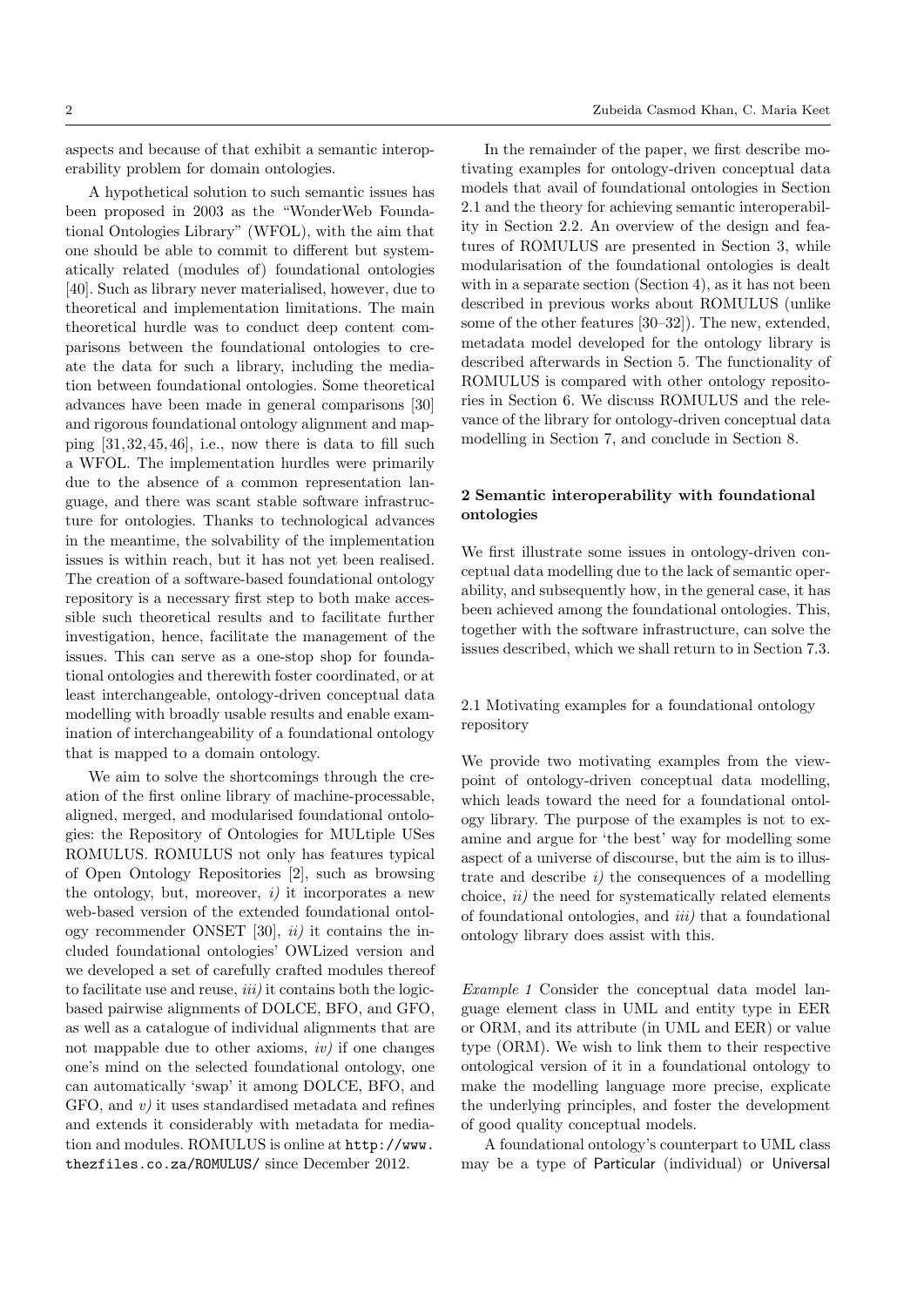aspects and because of that exhibit a semantic interoperability problem for domain ontologies.

A hypothetical solution to such semantic issues has been proposed in 2003 as the "WonderWeb Foundational Ontologies Library" (WFOL), with the aim that one should be able to commit to different but systematically related (modules of) foundational ontologies [40]. Such as library never materialised, however, due to theoretical and implementation limitations. The main theoretical hurdle was to conduct deep content comparisons between the foundational ontologies to create the data for such a library, including the mediation between foundational ontologies. Some theoretical advances have been made in general comparisons [30] and rigorous foundational ontology alignment and mapping  $[31, 32, 45, 46]$ , i.e., now there is data to fill such a WFOL. The implementation hurdles were primarily due to the absence of a common representation language, and there was scant stable software infrastructure for ontologies. Thanks to technological advances in the meantime, the solvability of the implementation issues is within reach, but it has not yet been realised. The creation of a software-based foundational ontology repository is a necessary first step to both make accessible such theoretical results and to facilitate further investigation, hence, facilitate the management of the issues. This can serve as a one-stop shop for foundational ontologies and therewith foster coordinated, or at least interchangeable, ontology-driven conceptual data modelling with broadly usable results and enable examination of interchangeability of a foundational ontology that is mapped to a domain ontology.

We aim to solve the shortcomings through the creation of the first online library of machine-processable, aligned, merged, and modularised foundational ontologies: the Repository of Ontologies for MULtiple USes ROMULUS. ROMULUS not only has features typical of Open Ontology Repositories [2], such as browsing the ontology, but, moreover,  $i$ ) it incorporates a new web-based version of the extended foundational ontology recommender ONSET  $[30]$ ,  $ii)$  it contains the included foundational ontologies' OWLized version and we developed a set of carefully crafted modules thereof to facilitate use and reuse,  $iii)$  it contains both the logicbased pairwise alignments of DOLCE, BFO, and GFO, as well as a catalogue of individual alignments that are not mappable due to other axioms,  $iv$  if one changes one's mind on the selected foundational ontology, one can automatically 'swap' it among DOLCE, BFO, and  $GFO$ , and  $v$ ) it uses standardised metadata and refines and extends it considerably with metadata for mediation and modules. ROMULUS is online at http://www. thezfiles.co.za/ROMULUS/ since December 2012.

In the remainder of the paper, we first describe motivating examples for ontology-driven conceptual data models that avail of foundational ontologies in Section 2.1 and the theory for achieving semantic interoperability in Section 2.2. An overview of the design and features of ROMULUS are presented in Section 3, while modularisation of the foundational ontologies is dealt with in a separate section (Section 4), as it has not been described in previous works about ROMULUS (unlike some of the other features [30–32]). The new, extended, metadata model developed for the ontology library is described afterwards in Section 5. The functionality of ROMULUS is compared with other ontology repositories in Section 6. We discuss ROMULUS and the relevance of the library for ontology-driven conceptual data modelling in Section 7, and conclude in Section 8.

# 2 Semantic interoperability with foundational ontologies

We first illustrate some issues in ontology-driven conceptual data modelling due to the lack of semantic operability, and subsequently how, in the general case, it has been achieved among the foundational ontologies. This, together with the software infrastructure, can solve the issues described, which we shall return to in Section 7.3.

# 2.1 Motivating examples for a foundational ontology repository

We provide two motivating examples from the viewpoint of ontology-driven conceptual data modelling, which leads toward the need for a foundational ontology library. The purpose of the examples is not to examine and argue for 'the best' way for modelling some aspect of a universe of discourse, but the aim is to illustrate and describe  $i$ ) the consequences of a modelling choice, ii) the need for systematically related elements of foundational ontologies, and iii) that a foundational ontology library does assist with this.

Example 1 Consider the conceptual data model language element class in UML and entity type in EER or ORM, and its attribute (in UML and EER) or value type (ORM). We wish to link them to their respective ontological version of it in a foundational ontology to make the modelling language more precise, explicate the underlying principles, and foster the development of good quality conceptual models.

A foundational ontology's counterpart to UML class may be a type of Particular (individual) or Universal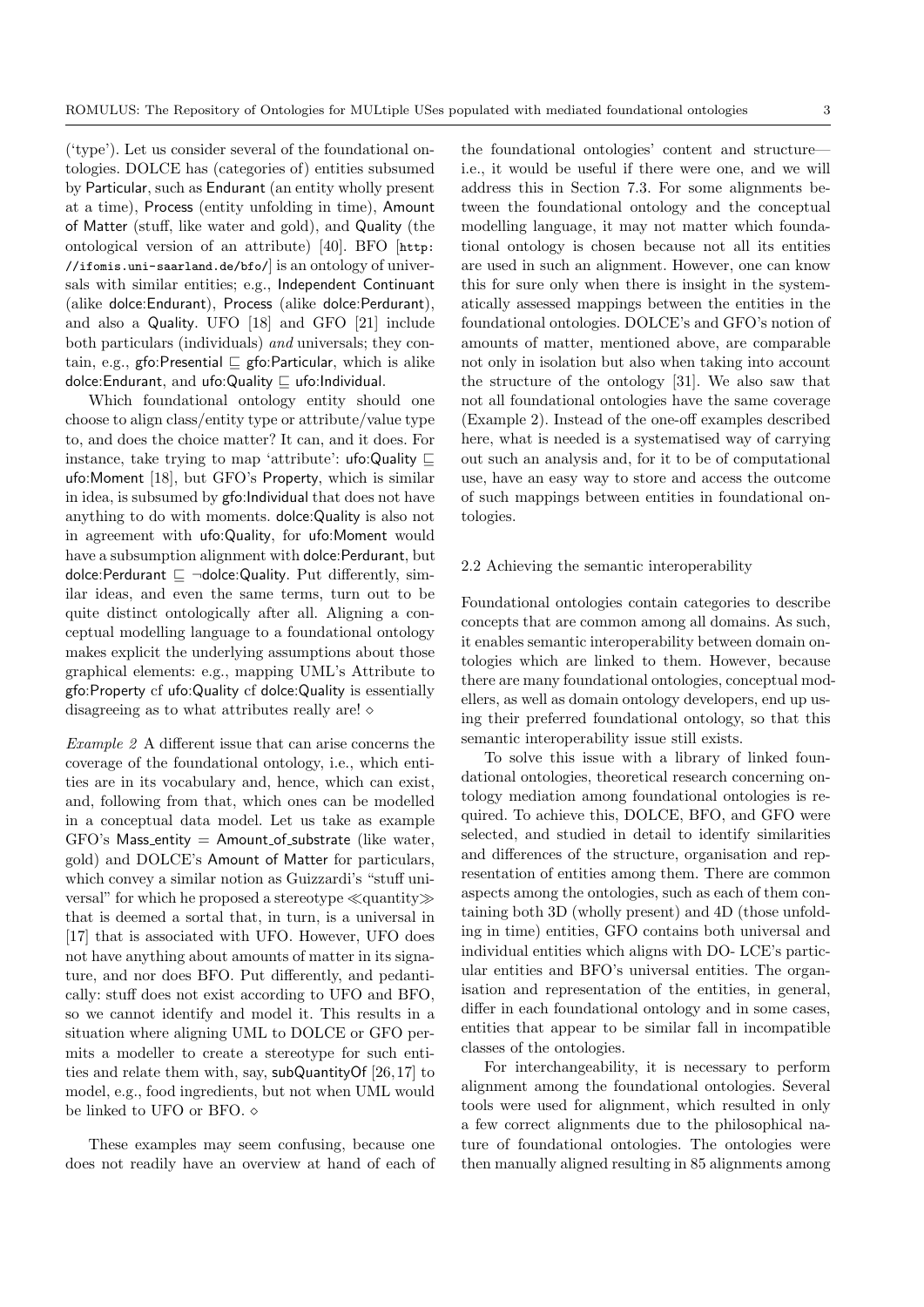('type'). Let us consider several of the foundational ontologies. DOLCE has (categories of) entities subsumed by Particular, such as Endurant (an entity wholly present at a time), Process (entity unfolding in time), Amount of Matter (stuff, like water and gold), and Quality (the ontological version of an attribute) [40]. BFO [http: //ifomis.uni-saarland.de/bfo/] is an ontology of universals with similar entities; e.g., Independent Continuant (alike dolce:Endurant), Process (alike dolce:Perdurant), and also a Quality. UFO [18] and GFO [21] include both particulars (individuals) and universals; they contain, e.g., gfo:Presential  $\sqsubseteq$  gfo:Particular, which is alike dolce: Endurant, and ufo: Quality  $\sqsubseteq$  ufo: Individual.

Which foundational ontology entity should one choose to align class/entity type or attribute/value type to, and does the choice matter? It can, and it does. For instance, take trying to map 'attribute': ufo:Quality  $\sqsubseteq$ ufo:Moment [18], but GFO's Property, which is similar in idea, is subsumed by gfo:Individual that does not have anything to do with moments. dolce:Quality is also not in agreement with ufo:Quality, for ufo:Moment would have a subsumption alignment with dolce: Perdurant, but dolce:Perdurant  $\sqsubseteq$   $\neg$ dolce:Quality. Put differently, similar ideas, and even the same terms, turn out to be quite distinct ontologically after all. Aligning a conceptual modelling language to a foundational ontology makes explicit the underlying assumptions about those graphical elements: e.g., mapping UML's Attribute to gfo:Property cf ufo:Quality cf dolce:Quality is essentially disagreeing as to what attributes really are!  $\diamond$ 

Example 2 A different issue that can arise concerns the coverage of the foundational ontology, i.e., which entities are in its vocabulary and, hence, which can exist, and, following from that, which ones can be modelled in a conceptual data model. Let us take as example  $GFO's$  Mass\_entity = Amount\_of\_substrate (like water, gold) and DOLCE's Amount of Matter for particulars, which convey a similar notion as Guizzardi's "stuff universal" for which he proposed a stereotype  $\ll$  quantity $\gg$ that is deemed a sortal that, in turn, is a universal in [17] that is associated with UFO. However, UFO does not have anything about amounts of matter in its signature, and nor does BFO. Put differently, and pedantically: stuff does not exist according to UFO and BFO, so we cannot identify and model it. This results in a situation where aligning UML to DOLCE or GFO permits a modeller to create a stereotype for such entities and relate them with, say, subQuantityOf [26, 17] to model, e.g., food ingredients, but not when UML would be linked to UFO or BFO.

These examples may seem confusing, because one does not readily have an overview at hand of each of

the foundational ontologies' content and structure i.e., it would be useful if there were one, and we will address this in Section 7.3. For some alignments between the foundational ontology and the conceptual modelling language, it may not matter which foundational ontology is chosen because not all its entities are used in such an alignment. However, one can know this for sure only when there is insight in the systematically assessed mappings between the entities in the foundational ontologies. DOLCE's and GFO's notion of amounts of matter, mentioned above, are comparable not only in isolation but also when taking into account the structure of the ontology [31]. We also saw that not all foundational ontologies have the same coverage (Example 2). Instead of the one-off examples described here, what is needed is a systematised way of carrying out such an analysis and, for it to be of computational use, have an easy way to store and access the outcome of such mappings between entities in foundational ontologies.

## 2.2 Achieving the semantic interoperability

Foundational ontologies contain categories to describe concepts that are common among all domains. As such, it enables semantic interoperability between domain ontologies which are linked to them. However, because there are many foundational ontologies, conceptual modellers, as well as domain ontology developers, end up using their preferred foundational ontology, so that this semantic interoperability issue still exists.

To solve this issue with a library of linked foundational ontologies, theoretical research concerning ontology mediation among foundational ontologies is required. To achieve this, DOLCE, BFO, and GFO were selected, and studied in detail to identify similarities and differences of the structure, organisation and representation of entities among them. There are common aspects among the ontologies, such as each of them containing both 3D (wholly present) and 4D (those unfolding in time) entities, GFO contains both universal and individual entities which aligns with DO- LCE's particular entities and BFO's universal entities. The organisation and representation of the entities, in general, differ in each foundational ontology and in some cases, entities that appear to be similar fall in incompatible classes of the ontologies.

For interchangeability, it is necessary to perform alignment among the foundational ontologies. Several tools were used for alignment, which resulted in only a few correct alignments due to the philosophical nature of foundational ontologies. The ontologies were then manually aligned resulting in 85 alignments among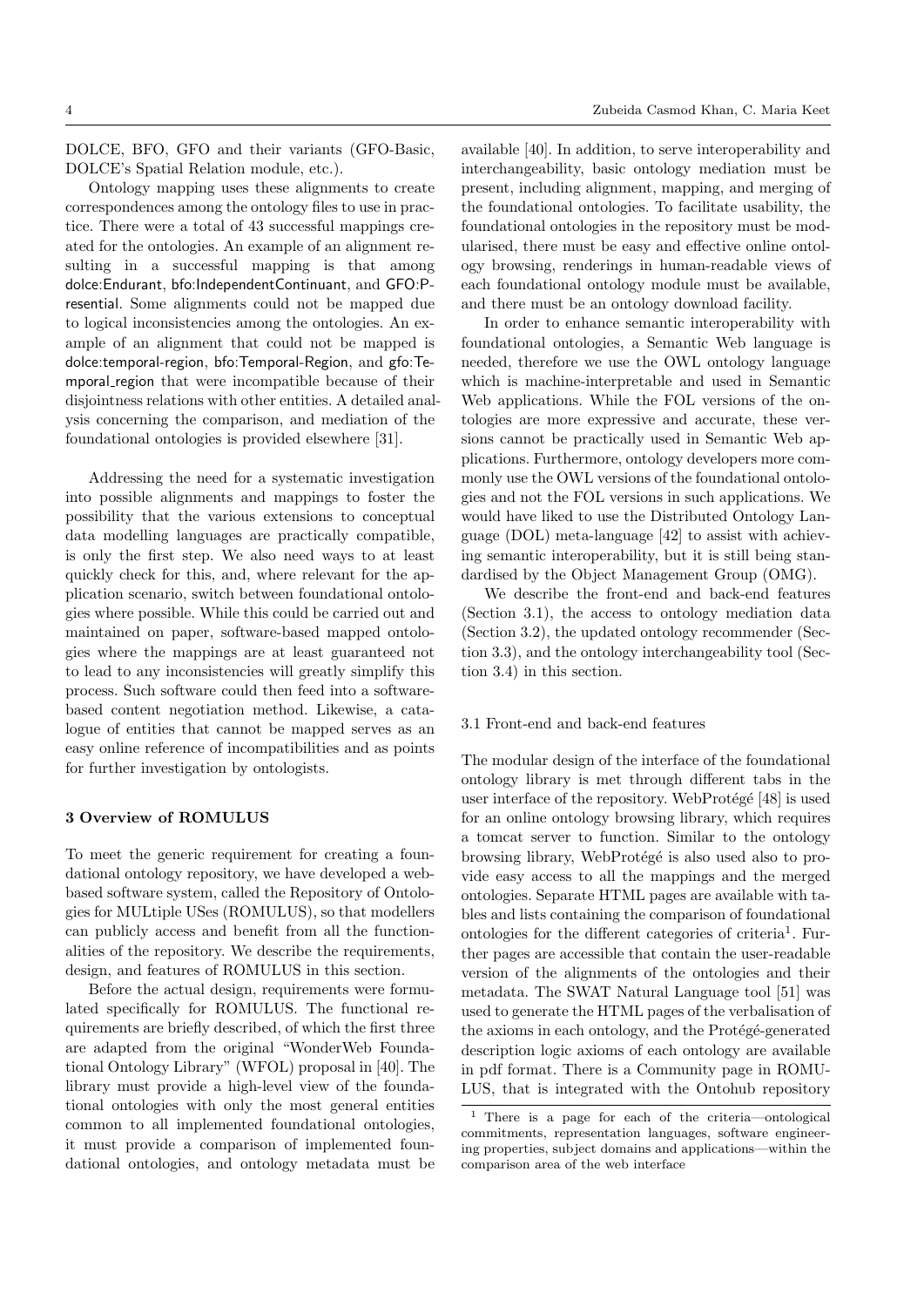DOLCE, BFO, GFO and their variants (GFO-Basic, DOLCE's Spatial Relation module, etc.).

Ontology mapping uses these alignments to create correspondences among the ontology files to use in practice. There were a total of 43 successful mappings created for the ontologies. An example of an alignment resulting in a successful mapping is that among dolce:Endurant, bfo:IndependentContinuant, and GFO:Presential. Some alignments could not be mapped due to logical inconsistencies among the ontologies. An example of an alignment that could not be mapped is dolce:temporal-region, bfo:Temporal-Region, and gfo:Temporal region that were incompatible because of their disjointness relations with other entities. A detailed analysis concerning the comparison, and mediation of the foundational ontologies is provided elsewhere [31].

Addressing the need for a systematic investigation into possible alignments and mappings to foster the possibility that the various extensions to conceptual data modelling languages are practically compatible, is only the first step. We also need ways to at least quickly check for this, and, where relevant for the application scenario, switch between foundational ontologies where possible. While this could be carried out and maintained on paper, software-based mapped ontologies where the mappings are at least guaranteed not to lead to any inconsistencies will greatly simplify this process. Such software could then feed into a softwarebased content negotiation method. Likewise, a catalogue of entities that cannot be mapped serves as an easy online reference of incompatibilities and as points for further investigation by ontologists.

# 3 Overview of ROMULUS

To meet the generic requirement for creating a foundational ontology repository, we have developed a webbased software system, called the Repository of Ontologies for MULtiple USes (ROMULUS), so that modellers can publicly access and benefit from all the functionalities of the repository. We describe the requirements, design, and features of ROMULUS in this section.

Before the actual design, requirements were formulated specifically for ROMULUS. The functional requirements are briefly described, of which the first three are adapted from the original "WonderWeb Foundational Ontology Library" (WFOL) proposal in [40]. The library must provide a high-level view of the foundational ontologies with only the most general entities common to all implemented foundational ontologies, it must provide a comparison of implemented foundational ontologies, and ontology metadata must be

available [40]. In addition, to serve interoperability and interchangeability, basic ontology mediation must be present, including alignment, mapping, and merging of the foundational ontologies. To facilitate usability, the foundational ontologies in the repository must be modularised, there must be easy and effective online ontology browsing, renderings in human-readable views of each foundational ontology module must be available, and there must be an ontology download facility.

In order to enhance semantic interoperability with foundational ontologies, a Semantic Web language is needed, therefore we use the OWL ontology language which is machine-interpretable and used in Semantic Web applications. While the FOL versions of the ontologies are more expressive and accurate, these versions cannot be practically used in Semantic Web applications. Furthermore, ontology developers more commonly use the OWL versions of the foundational ontologies and not the FOL versions in such applications. We would have liked to use the Distributed Ontology Language (DOL) meta-language [42] to assist with achieving semantic interoperability, but it is still being standardised by the Object Management Group (OMG).

We describe the front-end and back-end features (Section 3.1), the access to ontology mediation data (Section 3.2), the updated ontology recommender (Section 3.3), and the ontology interchangeability tool (Section 3.4) in this section.

# 3.1 Front-end and back-end features

The modular design of the interface of the foundational ontology library is met through different tabs in the user interface of the repository. WebProtégé [48] is used for an online ontology browsing library, which requires a tomcat server to function. Similar to the ontology browsing library, WebProtégé is also used also to provide easy access to all the mappings and the merged ontologies. Separate HTML pages are available with tables and lists containing the comparison of foundational ontologies for the different categories of criteria<sup>1</sup>. Further pages are accessible that contain the user-readable version of the alignments of the ontologies and their metadata. The SWAT Natural Language tool [51] was used to generate the HTML pages of the verbalisation of the axioms in each ontology, and the Protégé-generated description logic axioms of each ontology are available in pdf format. There is a Community page in ROMU-LUS, that is integrated with the Ontohub repository

<sup>1</sup> There is a page for each of the criteria—ontological commitments, representation languages, software engineering properties, subject domains and applications—within the comparison area of the web interface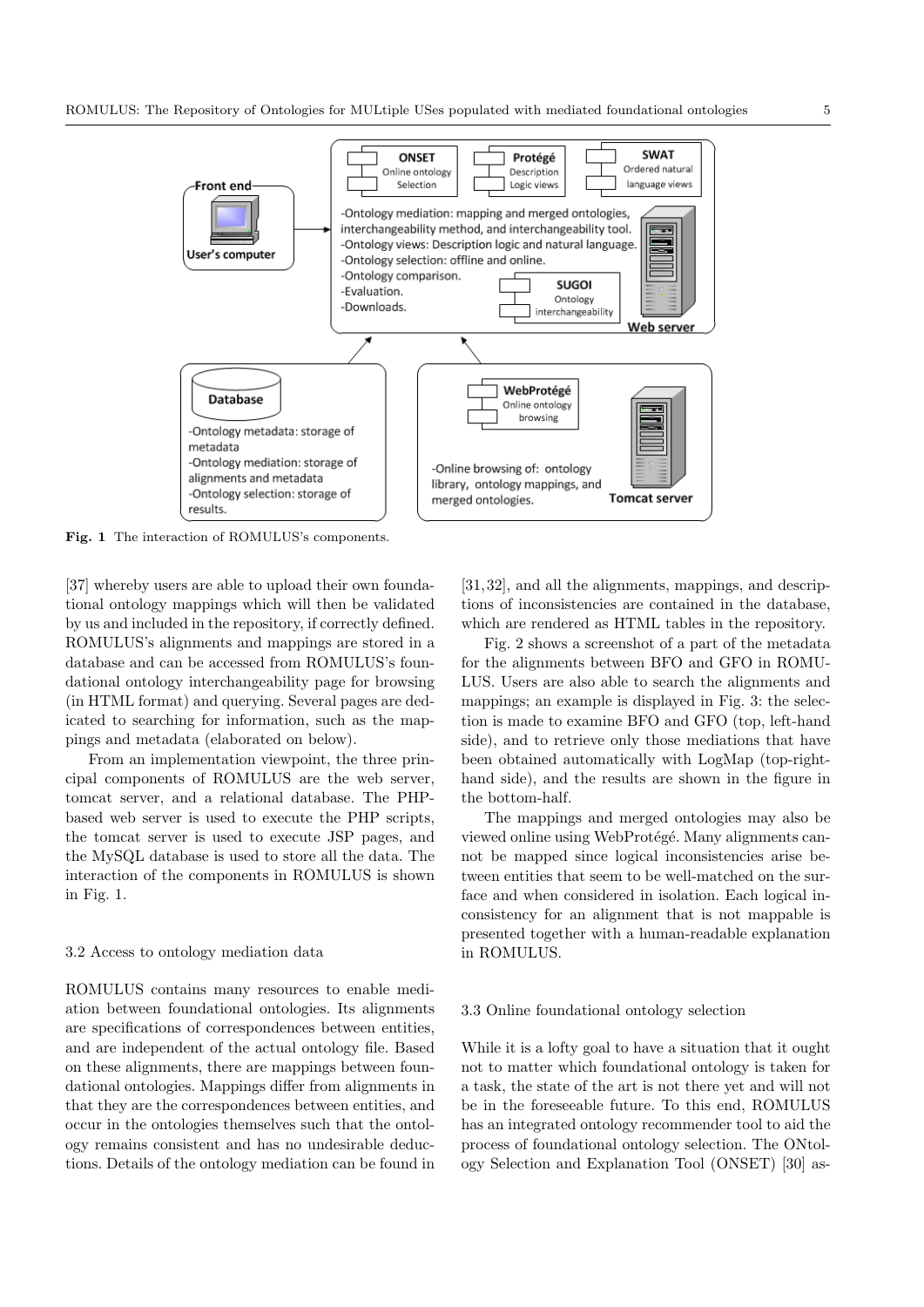

Fig. 1 The interaction of ROMULUS's components.

[37] whereby users are able to upload their own foundational ontology mappings which will then be validated by us and included in the repository, if correctly defined. ROMULUS's alignments and mappings are stored in a database and can be accessed from ROMULUS's foundational ontology interchangeability page for browsing (in HTML format) and querying. Several pages are dedicated to searching for information, such as the mappings and metadata (elaborated on below).

From an implementation viewpoint, the three principal components of ROMULUS are the web server, tomcat server, and a relational database. The PHPbased web server is used to execute the PHP scripts, the tomcat server is used to execute JSP pages, and the MySQL database is used to store all the data. The interaction of the components in ROMULUS is shown in Fig. 1.

### 3.2 Access to ontology mediation data

ROMULUS contains many resources to enable mediation between foundational ontologies. Its alignments are specifications of correspondences between entities, and are independent of the actual ontology file. Based on these alignments, there are mappings between foundational ontologies. Mappings differ from alignments in that they are the correspondences between entities, and occur in the ontologies themselves such that the ontology remains consistent and has no undesirable deductions. Details of the ontology mediation can be found in

[31, 32], and all the alignments, mappings, and descriptions of inconsistencies are contained in the database, which are rendered as HTML tables in the repository.

Fig. 2 shows a screenshot of a part of the metadata for the alignments between BFO and GFO in ROMU-LUS. Users are also able to search the alignments and mappings; an example is displayed in Fig. 3: the selection is made to examine BFO and GFO (top, left-hand side), and to retrieve only those mediations that have been obtained automatically with LogMap (top-righthand side), and the results are shown in the figure in the bottom-half.

The mappings and merged ontologies may also be viewed online using WebProtégé. Many alignments cannot be mapped since logical inconsistencies arise between entities that seem to be well-matched on the surface and when considered in isolation. Each logical inconsistency for an alignment that is not mappable is presented together with a human-readable explanation in ROMULUS.

#### 3.3 Online foundational ontology selection

While it is a lofty goal to have a situation that it ought not to matter which foundational ontology is taken for a task, the state of the art is not there yet and will not be in the foreseeable future. To this end, ROMULUS has an integrated ontology recommender tool to aid the process of foundational ontology selection. The ONtology Selection and Explanation Tool (ONSET) [30] as-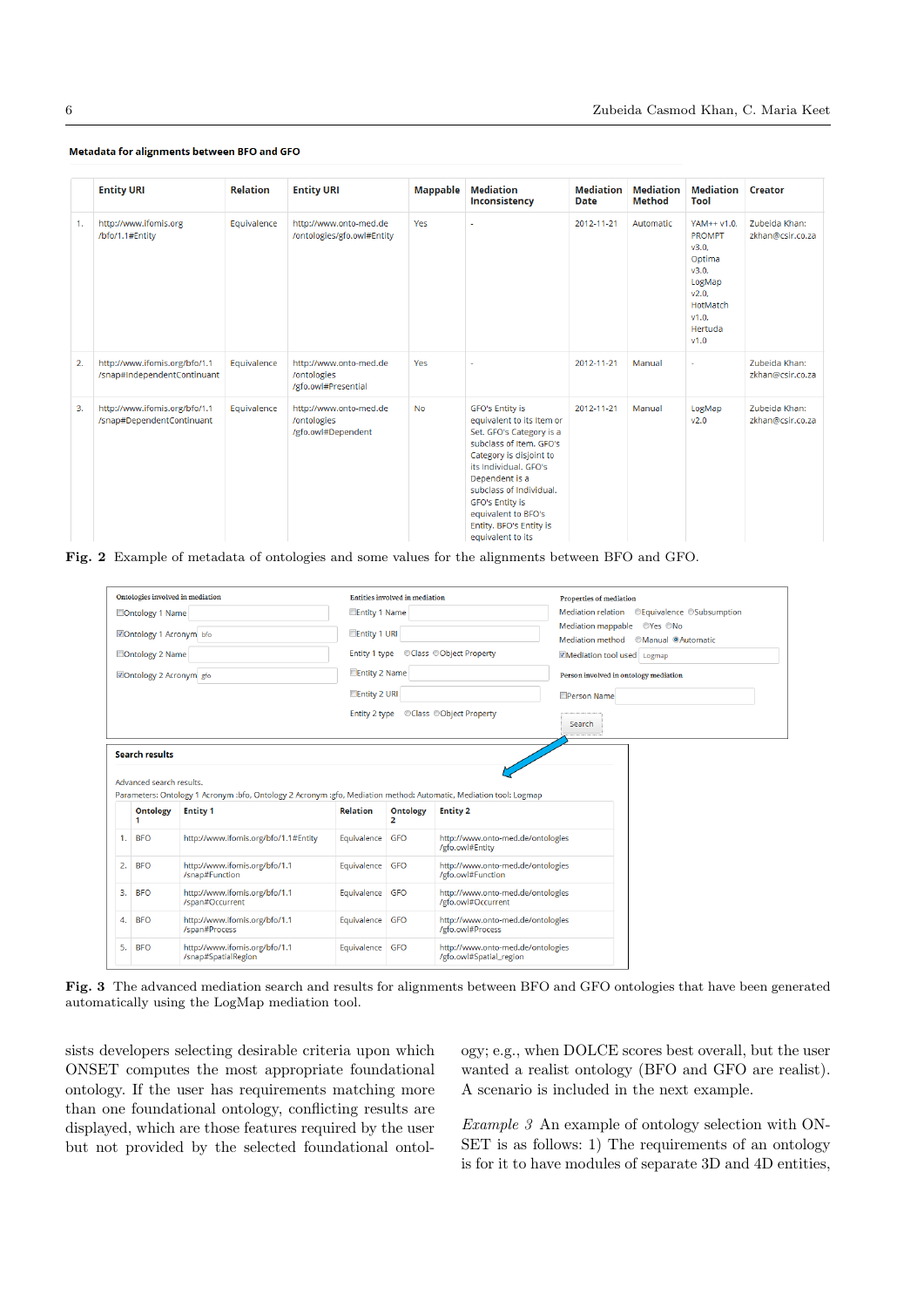#### Metadata for alignments between BFO and GFO

|    | <b>Entity URI</b>                                            | <b>Relation</b> | <b>Entity URI</b>                                            | <b>Mappable</b> | <b>Mediation</b><br>Inconsistency                                                                                                                                                                                                                                                                     | <b>Mediation</b><br><b>Date</b> | <b>Mediation</b><br>Method | Mediation<br><b>Tool</b>                                                                                             | Creator                           |
|----|--------------------------------------------------------------|-----------------|--------------------------------------------------------------|-----------------|-------------------------------------------------------------------------------------------------------------------------------------------------------------------------------------------------------------------------------------------------------------------------------------------------------|---------------------------------|----------------------------|----------------------------------------------------------------------------------------------------------------------|-----------------------------------|
| 1. | http://www.ifomis.org<br>/bfo/1.1#Entity                     | Equivalence     | http://www.onto-med.de<br>/ontologies/gfo.owl#Entity         | Yes             |                                                                                                                                                                                                                                                                                                       | 2012-11-21                      | Automatic                  | $YAM++V1.0.$<br><b>PROMPT</b><br>V3.0.<br>Optima<br>V3.0.<br>LogMap<br>V2.0.<br>HotMatch<br>V1.0.<br>Hertuda<br>V1.0 | Zubeida Khan:<br>zkhan@csir.co.za |
| 2. | http://www.ifomis.org/bfo/1.1<br>/snap#IndependentContinuant | Equivalence     | http://www.onto-med.de<br>/ontologies<br>/gfo.owl#Presential | Yes             |                                                                                                                                                                                                                                                                                                       | 2012-11-21                      | Manual                     |                                                                                                                      | Zubeida Khan:<br>zkhan@csir.co.za |
| 3. | http://www.ifomis.org/bfo/1.1<br>/snap#DependentContinuant   | Equivalence     | http://www.onto-med.de<br>/ontologies<br>/gfo.owl#Dependent  | <b>No</b>       | GFO's Entity is<br>equivalent to its Item or<br>Set. GFO's Category is a<br>subclass of Item, GFO's<br>Category is disjoint to<br>its Individual, GFO's<br>Dependent is a<br>subclass of Individual.<br><b>GFO's Entity is</b><br>equivalent to BFO's<br>Entity. BFO's Entity is<br>equivalent to its | 2012-11-21                      | Manual                     | LogMap<br>V <sub>2.0</sub>                                                                                           | Zubeida Khan:<br>zkhan@csir.co.za |

Fig. 2 Example of metadata of ontologies and some values for the alignments between BFO and GFO.

| Ontologies involved in mediation            |                          |                                                                                                                   |                      | Entities involved in mediation    |                                                         | Properties of mediation                                                                             |  |  |
|---------------------------------------------|--------------------------|-------------------------------------------------------------------------------------------------------------------|----------------------|-----------------------------------|---------------------------------------------------------|-----------------------------------------------------------------------------------------------------|--|--|
| Contology 1 Name                            |                          |                                                                                                                   | <b>Entity 1 Name</b> |                                   |                                                         | Mediation relation ©Equivalence ©Subsumption                                                        |  |  |
| Contology 1 Acronym bfo<br>Contology 2 Name |                          |                                                                                                                   | <b>Entity 1 URI</b>  |                                   |                                                         | Mediation mappable<br>©Yes ©No<br>Mediation method ©Manual ©Automatic<br>Mediation tool used Logmap |  |  |
|                                             |                          |                                                                                                                   |                      |                                   |                                                         |                                                                                                     |  |  |
|                                             |                          |                                                                                                                   | Entity 1 type        |                                   | ©Class ©Object Property                                 |                                                                                                     |  |  |
| Ontology 2 Acronym gfo                      |                          |                                                                                                                   | <b>Entity 2 Name</b> |                                   |                                                         | Person involved in ontology mediation                                                               |  |  |
|                                             |                          |                                                                                                                   | Entity 2 URI         |                                   |                                                         | <b>EPerson Name</b>                                                                                 |  |  |
|                                             |                          |                                                                                                                   | Entity 2 type        |                                   | ©Class ©Object Property                                 | Search                                                                                              |  |  |
|                                             | <b>Search results</b>    |                                                                                                                   |                      |                                   |                                                         |                                                                                                     |  |  |
|                                             | Advanced search results. | Parameters: Ontology 1 Acronym :bfo, Ontology 2 Acronym :gfo, Mediation method: Automatic, Mediation tool: Logmap |                      |                                   |                                                         |                                                                                                     |  |  |
|                                             | <b>Ontology</b><br>1     | <b>Entity 1</b>                                                                                                   | <b>Relation</b>      | <b>Ontology</b><br>$\overline{2}$ | <b>Entity 2</b>                                         |                                                                                                     |  |  |
| 1.                                          | <b>BFO</b>               | http://www.ifomis.org/bfo/1.1#Entity                                                                              | Equivalence          | <b>GFO</b>                        | http://www.onto-med.de/ontologies<br>/gfo.owl#Entity    |                                                                                                     |  |  |
| 2.                                          | <b>BFO</b>               | http://www.ifomis.org/bfo/1.1<br>/snap#Function                                                                   | Equivalence GFO      |                                   | http://www.onto-med.de/ontologies<br>/gfo.owl#Function  |                                                                                                     |  |  |
| 3.                                          | <b>BFO</b>               | http://www.ifomis.org/bfo/1.1<br>/span#Occurrent                                                                  | Equivalence GFO      |                                   | http://www.onto-med.de/ontologies<br>/gfo.owl#Occurrent |                                                                                                     |  |  |
| 4.                                          | <b>BFO</b>               | http://www.ifomis.org/bfo/1.1<br>/span#Process                                                                    | Equivalence GFO      |                                   | http://www.onto-med.de/ontologies<br>/gfo.owl#Process   |                                                                                                     |  |  |

Fig. 3 The advanced mediation search and results for alignments between BFO and GFO ontologies that have been generated automatically using the LogMap mediation tool.

sists developers selecting desirable criteria upon which ONSET computes the most appropriate foundational ontology. If the user has requirements matching more than one foundational ontology, conflicting results are displayed, which are those features required by the user but not provided by the selected foundational ontology; e.g., when DOLCE scores best overall, but the user wanted a realist ontology (BFO and GFO are realist). A scenario is included in the next example.

Example 3 An example of ontology selection with ON-SET is as follows: 1) The requirements of an ontology is for it to have modules of separate 3D and 4D entities,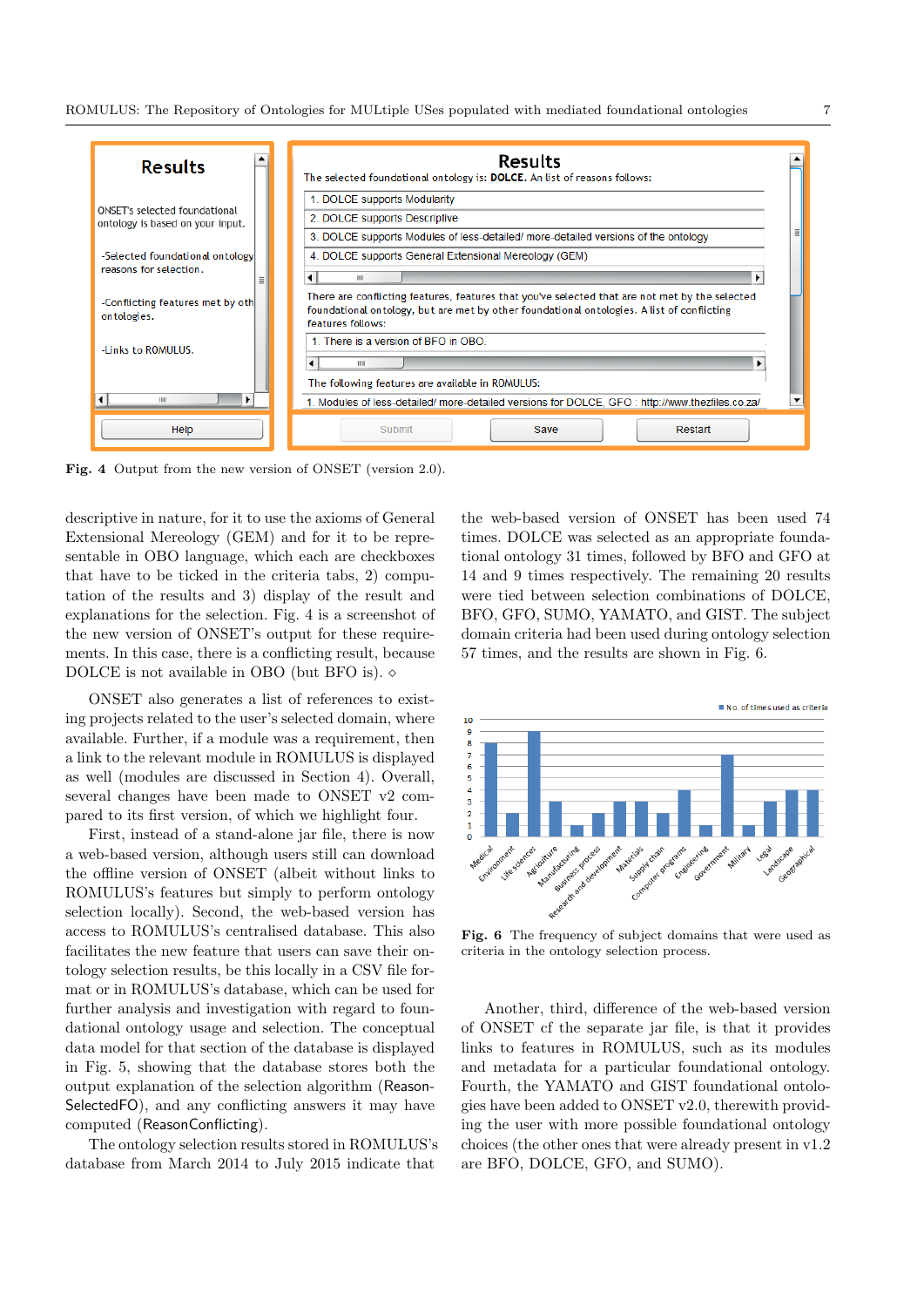

Fig. 4 Output from the new version of ONSET (version 2.0).

descriptive in nature, for it to use the axioms of General Extensional Mereology (GEM) and for it to be representable in OBO language, which each are checkboxes that have to be ticked in the criteria tabs, 2) computation of the results and 3) display of the result and explanations for the selection. Fig. 4 is a screenshot of the new version of ONSET's output for these requirements. In this case, there is a conflicting result, because DOLCE is not available in OBO (but BFO is).  $\diamond$ 

ONSET also generates a list of references to existing projects related to the user's selected domain, where available. Further, if a module was a requirement, then a link to the relevant module in ROMULUS is displayed as well (modules are discussed in Section 4). Overall, several changes have been made to ONSET v2 compared to its first version, of which we highlight four.

First, instead of a stand-alone jar file, there is now a web-based version, although users still can download the offline version of ONSET (albeit without links to ROMULUS's features but simply to perform ontology selection locally). Second, the web-based version has access to ROMULUS's centralised database. This also facilitates the new feature that users can save their ontology selection results, be this locally in a CSV file format or in ROMULUS's database, which can be used for further analysis and investigation with regard to foundational ontology usage and selection. The conceptual data model for that section of the database is displayed in Fig. 5, showing that the database stores both the output explanation of the selection algorithm (Reason-SelectedFO), and any conflicting answers it may have computed (ReasonConflicting).

The ontology selection results stored in ROMULUS's database from March 2014 to July 2015 indicate that

the web-based version of ONSET has been used 74 times. DOLCE was selected as an appropriate foundational ontology 31 times, followed by BFO and GFO at 14 and 9 times respectively. The remaining 20 results were tied between selection combinations of DOLCE, BFO, GFO, SUMO, YAMATO, and GIST. The subject domain criteria had been used during ontology selection 57 times, and the results are shown in Fig. 6.



Fig. 6 The frequency of subject domains that were used as criteria in the ontology selection process.

Another, third, difference of the web-based version of ONSET cf the separate jar file, is that it provides links to features in ROMULUS, such as its modules and metadata for a particular foundational ontology. Fourth, the YAMATO and GIST foundational ontologies have been added to ONSET v2.0, therewith providing the user with more possible foundational ontology choices (the other ones that were already present in v1.2 are BFO, DOLCE, GFO, and SUMO).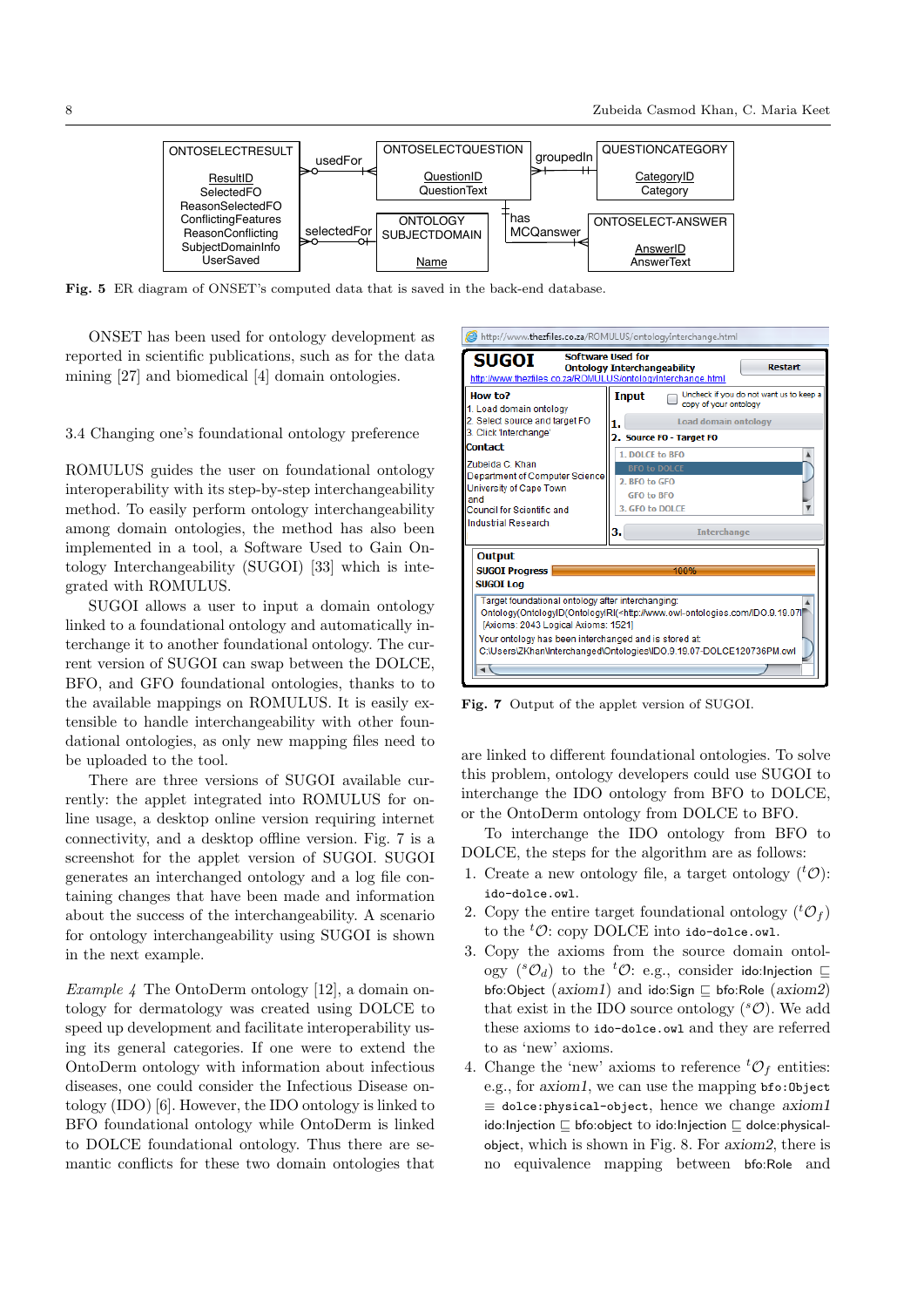

Fig. 5 ER diagram of ONSET's computed data that is saved in the back-end database.

ONSET has been used for ontology development as reported in scientific publications, such as for the data mining [27] and biomedical [4] domain ontologies.

# 3.4 Changing one's foundational ontology preference

ROMULUS guides the user on foundational ontology interoperability with its step-by-step interchangeability method. To easily perform ontology interchangeability among domain ontologies, the method has also been implemented in a tool, a Software Used to Gain Ontology Interchangeability (SUGOI) [33] which is integrated with ROMULUS.

SUGOI allows a user to input a domain ontology linked to a foundational ontology and automatically interchange it to another foundational ontology. The current version of SUGOI can swap between the DOLCE, BFO, and GFO foundational ontologies, thanks to to the available mappings on ROMULUS. It is easily extensible to handle interchangeability with other foundational ontologies, as only new mapping files need to be uploaded to the tool.

There are three versions of SUGOI available currently: the applet integrated into ROMULUS for online usage, a desktop online version requiring internet connectivity, and a desktop offline version. Fig. 7 is a screenshot for the applet version of SUGOI. SUGOI generates an interchanged ontology and a log file containing changes that have been made and information about the success of the interchangeability. A scenario for ontology interchangeability using SUGOI is shown in the next example.

Example 4 The OntoDerm ontology [12], a domain ontology for dermatology was created using DOLCE to speed up development and facilitate interoperability using its general categories. If one were to extend the OntoDerm ontology with information about infectious diseases, one could consider the Infectious Disease ontology (IDO) [6]. However, the IDO ontology is linked to BFO foundational ontology while OntoDerm is linked to DOLCE foundational ontology. Thus there are semantic conflicts for these two domain ontologies that



Fig. 7 Output of the applet version of SUGOI.

are linked to different foundational ontologies. To solve this problem, ontology developers could use SUGOI to interchange the IDO ontology from BFO to DOLCE, or the OntoDerm ontology from DOLCE to BFO.

To interchange the IDO ontology from BFO to DOLCE, the steps for the algorithm are as follows:

- 1. Create a new ontology file, a target ontology  $({}^{t} \mathcal{O})$ : ido-dolce.owl.
- 2. Copy the entire target foundational ontology  $({}^{t}O_f)$ to the  ${}^t\mathcal{O}$ : copy DOLCE into ido-dolce.owl.
- 3. Copy the axioms from the source domain ontology  $({}^s\mathcal{O}_d)$  to the  ${}^t\mathcal{O}$ : e.g., consider ido:Injection  $\Box$ bfo:Object ( $axiom1$ ) and ido:Sign  $\sqsubseteq$  bfo:Role ( $axiom2$ ) that exist in the IDO source ontology  $({}^{s}\mathcal{O})$ . We add these axioms to ido-dolce.owl and they are referred to as 'new' axioms.
- 4. Change the 'new' axioms to reference  ${}^t\mathcal{O}_f$  entities: e.g., for axiom1, we can use the mapping bfo:Object  $\equiv$  dolce: physical-object, hence we change axiom1 ido:Injection  $\sqsubseteq$  bfo:object to ido:Injection  $\sqsubseteq$  dolce:physicalobject, which is shown in Fig. 8. For axiom2, there is no equivalence mapping between bfo:Role and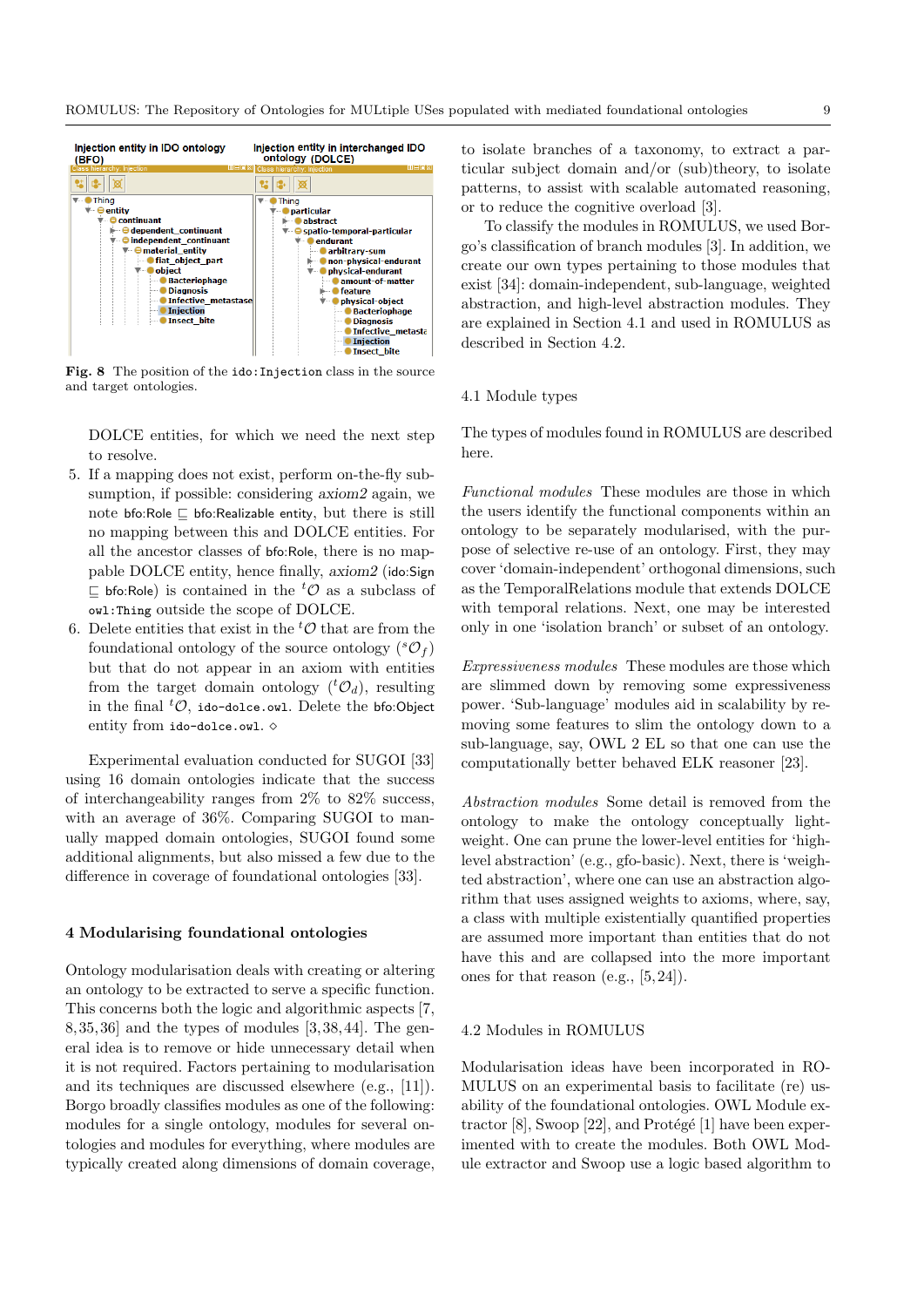

Fig. 8 The position of the ido:Injection class in the source and target ontologies.

DOLCE entities, for which we need the next step to resolve.

- 5. If a mapping does not exist, perform on-the-fly subsumption, if possible: considering axiom2 again, we note bfo:Role  $\sqsubseteq$  bfo:Realizable entity, but there is still no mapping between this and DOLCE entities. For all the ancestor classes of bfo:Role, there is no mappable DOLCE entity, hence finally, axiom2 (ido:Sign  $\Box$  bfo:Role) is contained in the  ${}^t\mathcal{O}$  as a subclass of owl:Thing outside the scope of DOLCE.
- 6. Delete entities that exist in the  ${}^t\mathcal{O}$  that are from the foundational ontology of the source ontology  $({}^{s}{\mathcal{O}}_f)$ but that do not appear in an axiom with entities from the target domain ontology  $({}^{t}O_d)$ , resulting in the final  ${}^t\mathcal{O}$ , ido-dolce.owl. Delete the bfo:Object entity from ido-dolce.owl.  $\diamond$

Experimental evaluation conducted for SUGOI [33] using 16 domain ontologies indicate that the success of interchangeability ranges from 2% to 82% success, with an average of 36%. Comparing SUGOI to manually mapped domain ontologies, SUGOI found some additional alignments, but also missed a few due to the difference in coverage of foundational ontologies [33].

#### 4 Modularising foundational ontologies

Ontology modularisation deals with creating or altering an ontology to be extracted to serve a specific function. This concerns both the logic and algorithmic aspects [7, 8, 35, 36] and the types of modules [3, 38, 44]. The general idea is to remove or hide unnecessary detail when it is not required. Factors pertaining to modularisation and its techniques are discussed elsewhere (e.g., [11]). Borgo broadly classifies modules as one of the following: modules for a single ontology, modules for several ontologies and modules for everything, where modules are typically created along dimensions of domain coverage,

to isolate branches of a taxonomy, to extract a particular subject domain and/or (sub)theory, to isolate patterns, to assist with scalable automated reasoning, or to reduce the cognitive overload [3].

To classify the modules in ROMULUS, we used Borgo's classification of branch modules [3]. In addition, we create our own types pertaining to those modules that exist [34]: domain-independent, sub-language, weighted abstraction, and high-level abstraction modules. They are explained in Section 4.1 and used in ROMULUS as described in Section 4.2.

# 4.1 Module types

The types of modules found in ROMULUS are described here.

Functional modules These modules are those in which the users identify the functional components within an ontology to be separately modularised, with the purpose of selective re-use of an ontology. First, they may cover 'domain-independent' orthogonal dimensions, such as the TemporalRelations module that extends DOLCE with temporal relations. Next, one may be interested only in one 'isolation branch' or subset of an ontology.

Expressiveness modules These modules are those which are slimmed down by removing some expressiveness power. 'Sub-language' modules aid in scalability by removing some features to slim the ontology down to a sub-language, say, OWL 2 EL so that one can use the computationally better behaved ELK reasoner [23].

Abstraction modules Some detail is removed from the ontology to make the ontology conceptually lightweight. One can prune the lower-level entities for 'highlevel abstraction' (e.g., gfo-basic). Next, there is 'weighted abstraction', where one can use an abstraction algorithm that uses assigned weights to axioms, where, say, a class with multiple existentially quantified properties are assumed more important than entities that do not have this and are collapsed into the more important ones for that reason (e.g., [5, 24]).

## 4.2 Modules in ROMULUS

Modularisation ideas have been incorporated in RO-MULUS on an experimental basis to facilitate (re) usability of the foundational ontologies. OWL Module extractor  $[8]$ , Swoop  $[22]$ , and Protégé  $[1]$  have been experimented with to create the modules. Both OWL Module extractor and Swoop use a logic based algorithm to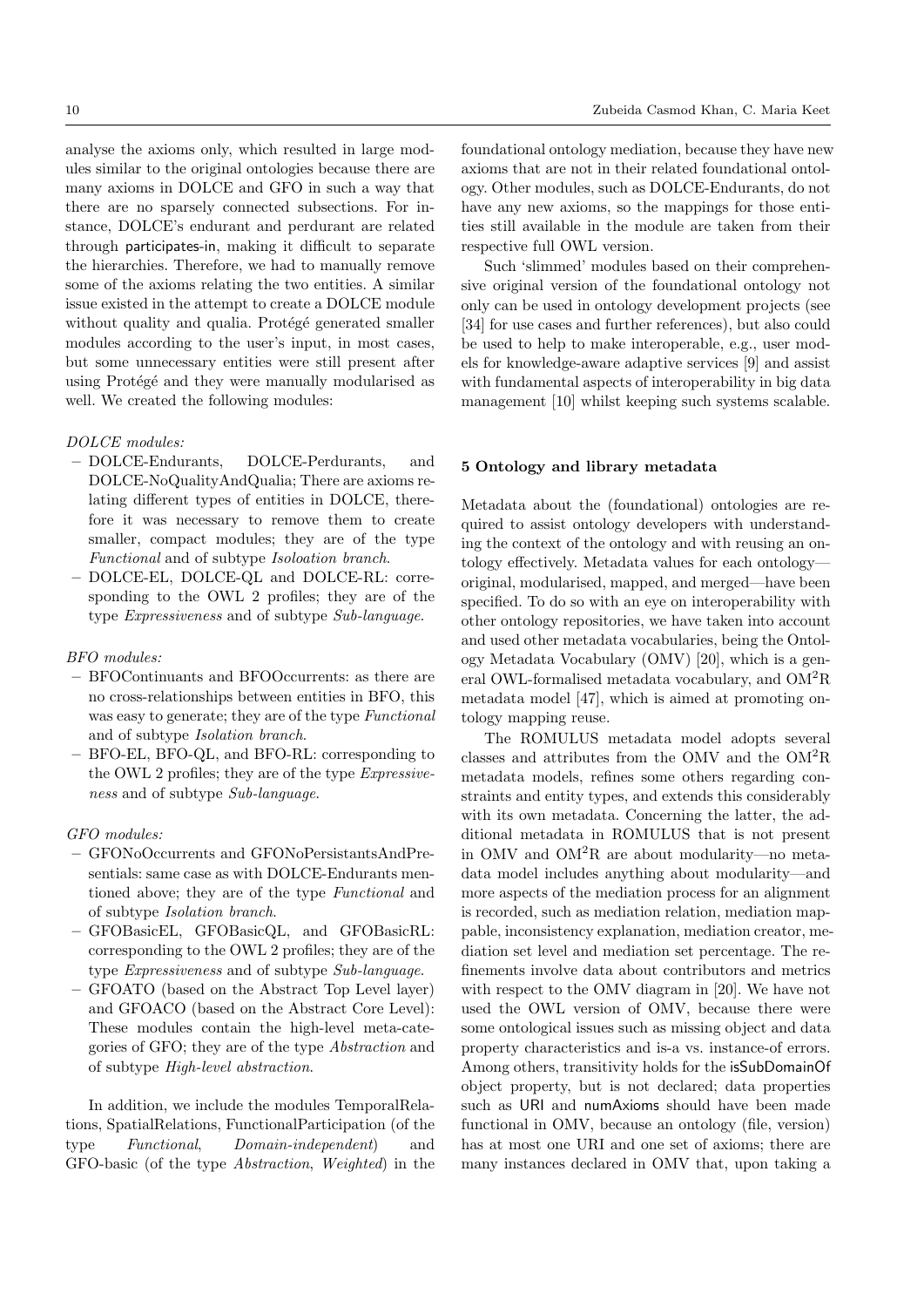analyse the axioms only, which resulted in large modules similar to the original ontologies because there are many axioms in DOLCE and GFO in such a way that there are no sparsely connected subsections. For instance, DOLCE's endurant and perdurant are related through participates-in, making it difficult to separate the hierarchies. Therefore, we had to manually remove some of the axioms relating the two entities. A similar issue existed in the attempt to create a DOLCE module without quality and qualia. Protégé generated smaller modules according to the user's input, in most cases, but some unnecessary entities were still present after using Protégé and they were manually modularised as well. We created the following modules:

# DOLCE modules:

- DOLCE-Endurants, DOLCE-Perdurants, and DOLCE-NoQualityAndQualia; There are axioms relating different types of entities in DOLCE, therefore it was necessary to remove them to create smaller, compact modules; they are of the type Functional and of subtype Isoloation branch.
- DOLCE-EL, DOLCE-QL and DOLCE-RL: corresponding to the OWL 2 profiles; they are of the type Expressiveness and of subtype Sub-language.

# BFO modules:

- BFOContinuants and BFOOccurrents: as there are no cross-relationships between entities in BFO, this was easy to generate; they are of the type Functional and of subtype Isolation branch.
- BFO-EL, BFO-QL, and BFO-RL: corresponding to the OWL 2 profiles; they are of the type *Expressive*ness and of subtype Sub-language.

#### GFO modules:

- GFONoOccurrents and GFONoPersistantsAndPresentials: same case as with DOLCE-Endurants mentioned above; they are of the type Functional and of subtype Isolation branch.
- GFOBasicEL, GFOBasicQL, and GFOBasicRL: corresponding to the OWL 2 profiles; they are of the type Expressiveness and of subtype Sub-language.
- GFOATO (based on the Abstract Top Level layer) and GFOACO (based on the Abstract Core Level): These modules contain the high-level meta-categories of GFO; they are of the type Abstraction and of subtype High-level abstraction.

In addition, we include the modules TemporalRelations, SpatialRelations, FunctionalParticipation (of the type Functional, Domain-independent) and GFO-basic (of the type Abstraction, Weighted) in the

foundational ontology mediation, because they have new axioms that are not in their related foundational ontology. Other modules, such as DOLCE-Endurants, do not have any new axioms, so the mappings for those entities still available in the module are taken from their respective full OWL version.

Such 'slimmed' modules based on their comprehensive original version of the foundational ontology not only can be used in ontology development projects (see [34] for use cases and further references), but also could be used to help to make interoperable, e.g., user models for knowledge-aware adaptive services [9] and assist with fundamental aspects of interoperability in big data management [10] whilst keeping such systems scalable.

# 5 Ontology and library metadata

Metadata about the (foundational) ontologies are required to assist ontology developers with understanding the context of the ontology and with reusing an ontology effectively. Metadata values for each ontology original, modularised, mapped, and merged—have been specified. To do so with an eye on interoperability with other ontology repositories, we have taken into account and used other metadata vocabularies, being the Ontology Metadata Vocabulary (OMV) [20], which is a general OWL-formalised metadata vocabulary, and OM2R metadata model [47], which is aimed at promoting ontology mapping reuse.

The ROMULUS metadata model adopts several classes and attributes from the OMV and the  $OM<sup>2</sup>R$ metadata models, refines some others regarding constraints and entity types, and extends this considerably with its own metadata. Concerning the latter, the additional metadata in ROMULUS that is not present in OMV and OM2R are about modularity—no metadata model includes anything about modularity—and more aspects of the mediation process for an alignment is recorded, such as mediation relation, mediation mappable, inconsistency explanation, mediation creator, mediation set level and mediation set percentage. The refinements involve data about contributors and metrics with respect to the OMV diagram in [20]. We have not used the OWL version of OMV, because there were some ontological issues such as missing object and data property characteristics and is-a vs. instance-of errors. Among others, transitivity holds for the isSubDomainOf object property, but is not declared; data properties such as URI and numAxioms should have been made functional in OMV, because an ontology (file, version) has at most one URI and one set of axioms; there are many instances declared in OMV that, upon taking a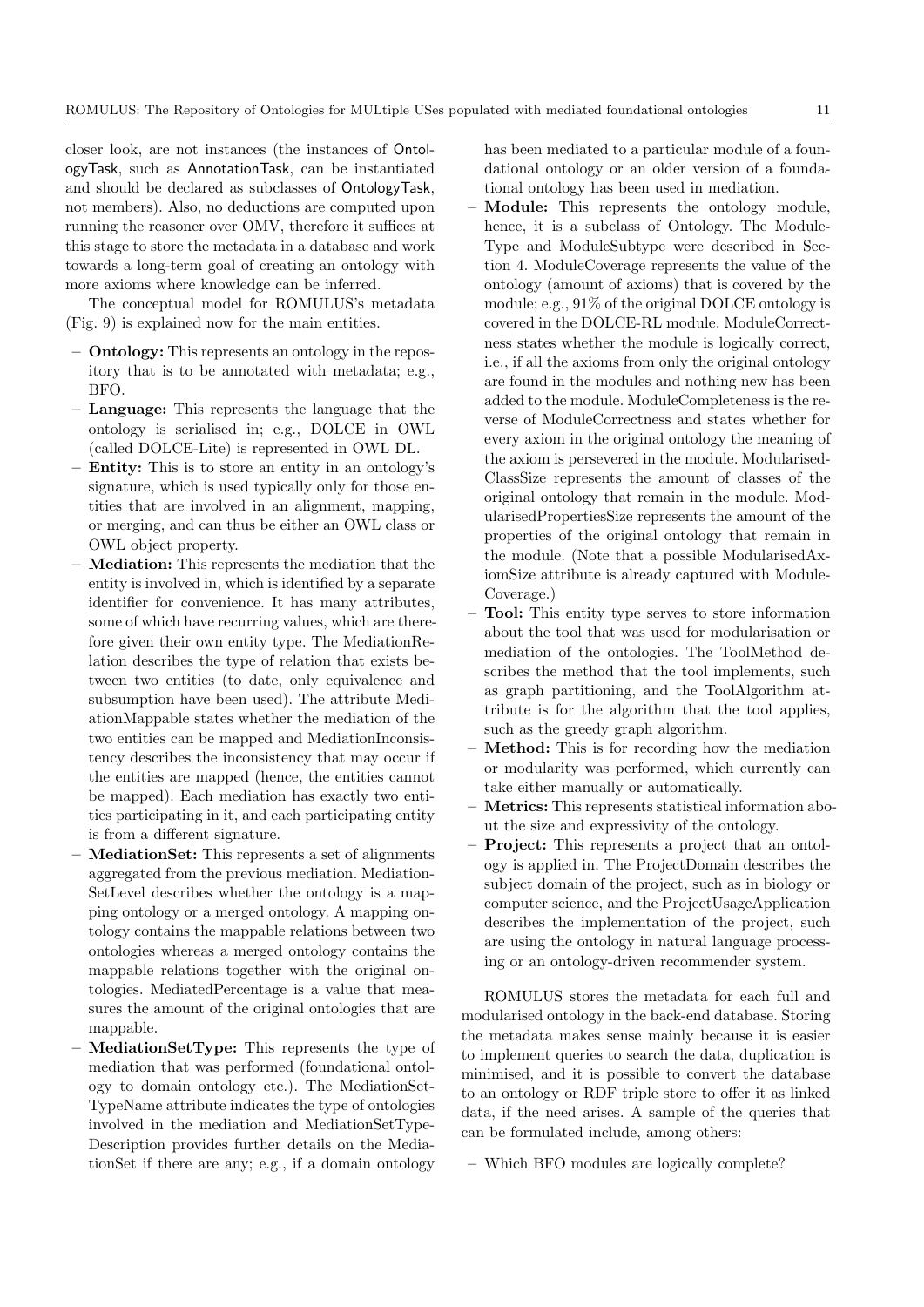closer look, are not instances (the instances of OntologyTask, such as AnnotationTask, can be instantiated and should be declared as subclasses of OntologyTask, not members). Also, no deductions are computed upon running the reasoner over OMV, therefore it suffices at this stage to store the metadata in a database and work towards a long-term goal of creating an ontology with more axioms where knowledge can be inferred.

The conceptual model for ROMULUS's metadata (Fig. 9) is explained now for the main entities.

- Ontology: This represents an ontology in the repository that is to be annotated with metadata; e.g., BFO.
- Language: This represents the language that the ontology is serialised in; e.g., DOLCE in OWL (called DOLCE-Lite) is represented in OWL DL.
- Entity: This is to store an entity in an ontology's signature, which is used typically only for those entities that are involved in an alignment, mapping, or merging, and can thus be either an OWL class or OWL object property.
- Mediation: This represents the mediation that the entity is involved in, which is identified by a separate identifier for convenience. It has many attributes, some of which have recurring values, which are therefore given their own entity type. The MediationRelation describes the type of relation that exists between two entities (to date, only equivalence and subsumption have been used). The attribute MediationMappable states whether the mediation of the two entities can be mapped and MediationInconsistency describes the inconsistency that may occur if the entities are mapped (hence, the entities cannot be mapped). Each mediation has exactly two entities participating in it, and each participating entity is from a different signature.
- MediationSet: This represents a set of alignments aggregated from the previous mediation. Mediation-SetLevel describes whether the ontology is a mapping ontology or a merged ontology. A mapping ontology contains the mappable relations between two ontologies whereas a merged ontology contains the mappable relations together with the original ontologies. MediatedPercentage is a value that measures the amount of the original ontologies that are mappable.
- MediationSetType: This represents the type of mediation that was performed (foundational ontology to domain ontology etc.). The MediationSet-TypeName attribute indicates the type of ontologies involved in the mediation and MediationSetType-Description provides further details on the MediationSet if there are any; e.g., if a domain ontology

has been mediated to a particular module of a foundational ontology or an older version of a foundational ontology has been used in mediation.

- Module: This represents the ontology module, hence, it is a subclass of Ontology. The Module-Type and ModuleSubtype were described in Section 4. ModuleCoverage represents the value of the ontology (amount of axioms) that is covered by the module; e.g., 91% of the original DOLCE ontology is covered in the DOLCE-RL module. ModuleCorrectness states whether the module is logically correct, i.e., if all the axioms from only the original ontology are found in the modules and nothing new has been added to the module. ModuleCompleteness is the reverse of ModuleCorrectness and states whether for every axiom in the original ontology the meaning of the axiom is persevered in the module. Modularised-ClassSize represents the amount of classes of the original ontology that remain in the module. ModularisedPropertiesSize represents the amount of the properties of the original ontology that remain in the module. (Note that a possible ModularisedAxiomSize attribute is already captured with Module-Coverage.)
- Tool: This entity type serves to store information about the tool that was used for modularisation or mediation of the ontologies. The ToolMethod describes the method that the tool implements, such as graph partitioning, and the ToolAlgorithm attribute is for the algorithm that the tool applies, such as the greedy graph algorithm.
- Method: This is for recording how the mediation or modularity was performed, which currently can take either manually or automatically.
- Metrics: This represents statistical information about the size and expressivity of the ontology.
- Project: This represents a project that an ontology is applied in. The ProjectDomain describes the subject domain of the project, such as in biology or computer science, and the ProjectUsageApplication describes the implementation of the project, such are using the ontology in natural language processing or an ontology-driven recommender system.

ROMULUS stores the metadata for each full and modularised ontology in the back-end database. Storing the metadata makes sense mainly because it is easier to implement queries to search the data, duplication is minimised, and it is possible to convert the database to an ontology or RDF triple store to offer it as linked data, if the need arises. A sample of the queries that can be formulated include, among others:

– Which BFO modules are logically complete?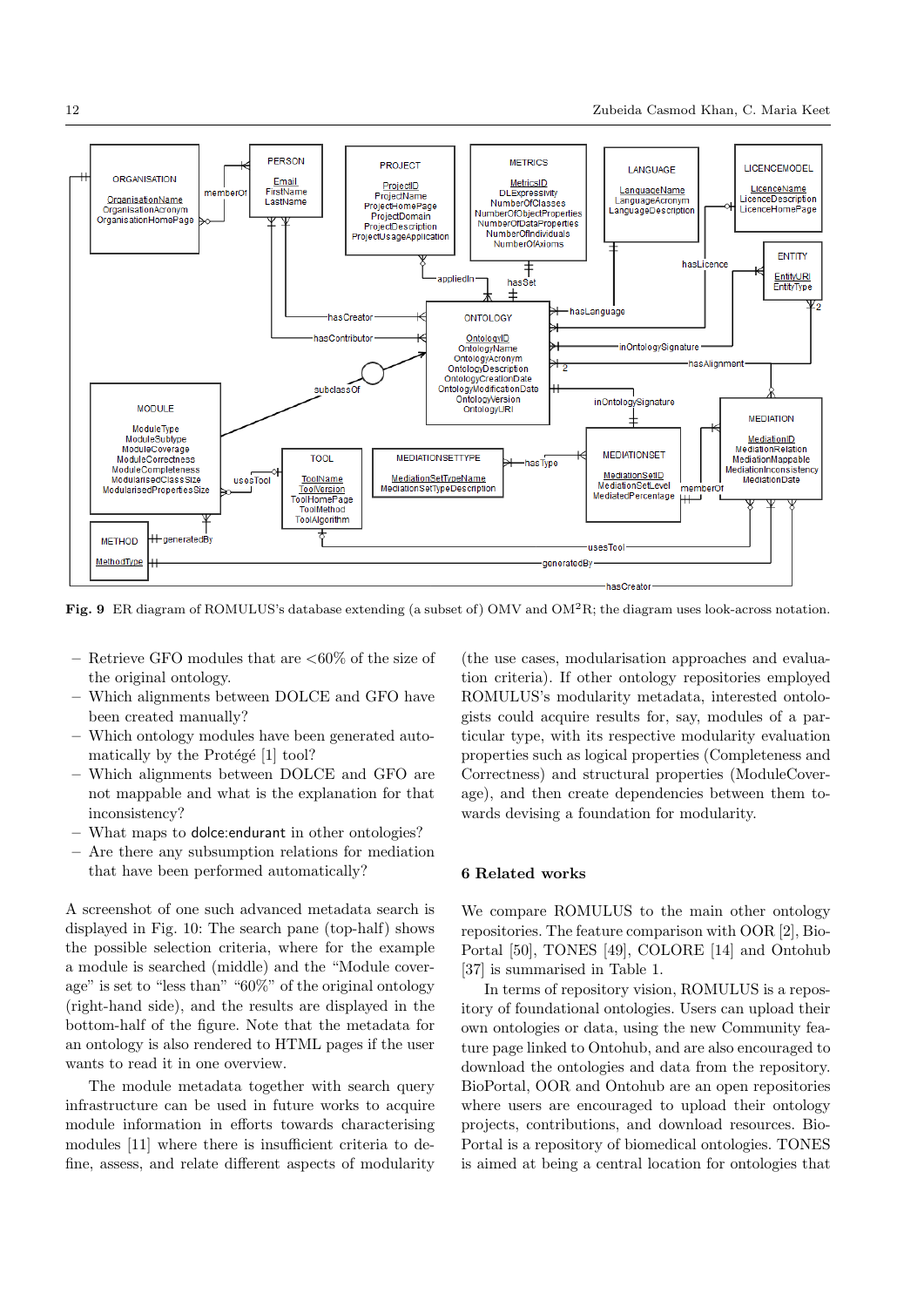

Fig. 9 ER diagram of ROMULUS's database extending (a subset of) OMV and  $OM^2R$ ; the diagram uses look-across notation.

- Retrieve GFO modules that are  $\langle 60\% \rangle$  of the size of the original ontology.
- Which alignments between DOLCE and GFO have been created manually?
- Which ontology modules have been generated automatically by the Protégé  $[1]$  tool?
- Which alignments between DOLCE and GFO are not mappable and what is the explanation for that inconsistency?
- What maps to dolce: endurant in other ontologies?
- Are there any subsumption relations for mediation that have been performed automatically?

A screenshot of one such advanced metadata search is displayed in Fig. 10: The search pane (top-half) shows the possible selection criteria, where for the example a module is searched (middle) and the "Module coverage" is set to "less than" "60%" of the original ontology (right-hand side), and the results are displayed in the bottom-half of the figure. Note that the metadata for an ontology is also rendered to HTML pages if the user wants to read it in one overview.

The module metadata together with search query infrastructure can be used in future works to acquire module information in efforts towards characterising modules [11] where there is insufficient criteria to define, assess, and relate different aspects of modularity

(the use cases, modularisation approaches and evaluation criteria). If other ontology repositories employed ROMULUS's modularity metadata, interested ontologists could acquire results for, say, modules of a particular type, with its respective modularity evaluation properties such as logical properties (Completeness and Correctness) and structural properties (ModuleCoverage), and then create dependencies between them towards devising a foundation for modularity.

# 6 Related works

We compare ROMULUS to the main other ontology repositories. The feature comparison with OOR [2], Bio-Portal [50], TONES [49], COLORE [14] and Ontohub [37] is summarised in Table 1.

In terms of repository vision, ROMULUS is a repository of foundational ontologies. Users can upload their own ontologies or data, using the new Community feature page linked to Ontohub, and are also encouraged to download the ontologies and data from the repository. BioPortal, OOR and Ontohub are an open repositories where users are encouraged to upload their ontology projects, contributions, and download resources. Bio-Portal is a repository of biomedical ontologies. TONES is aimed at being a central location for ontologies that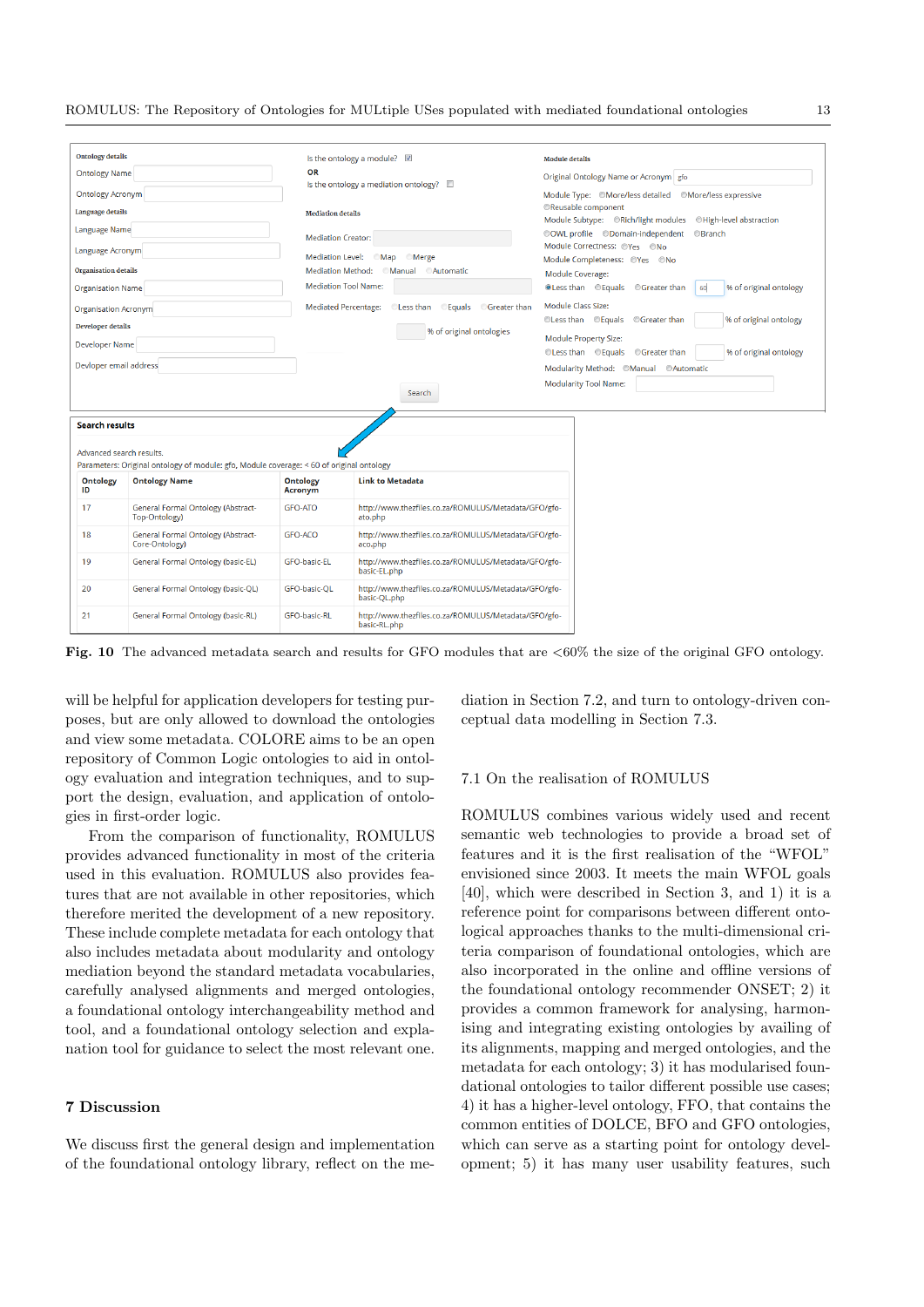

Fig. 10 The advanced metadata search and results for GFO modules that are  $< 60\%$  the size of the original GFO ontology.

will be helpful for application developers for testing purposes, but are only allowed to download the ontologies and view some metadata. COLORE aims to be an open repository of Common Logic ontologies to aid in ontology evaluation and integration techniques, and to support the design, evaluation, and application of ontologies in first-order logic.

From the comparison of functionality, ROMULUS provides advanced functionality in most of the criteria used in this evaluation. ROMULUS also provides features that are not available in other repositories, which therefore merited the development of a new repository. These include complete metadata for each ontology that also includes metadata about modularity and ontology mediation beyond the standard metadata vocabularies, carefully analysed alignments and merged ontologies, a foundational ontology interchangeability method and tool, and a foundational ontology selection and explanation tool for guidance to select the most relevant one.

# 7 Discussion

We discuss first the general design and implementation of the foundational ontology library, reflect on the me-

diation in Section 7.2, and turn to ontology-driven conceptual data modelling in Section 7.3.

#### 7.1 On the realisation of ROMULUS

ROMULUS combines various widely used and recent semantic web technologies to provide a broad set of features and it is the first realisation of the "WFOL" envisioned since 2003. It meets the main WFOL goals [40], which were described in Section 3, and 1) it is a reference point for comparisons between different ontological approaches thanks to the multi-dimensional criteria comparison of foundational ontologies, which are also incorporated in the online and offline versions of the foundational ontology recommender ONSET; 2) it provides a common framework for analysing, harmonising and integrating existing ontologies by availing of its alignments, mapping and merged ontologies, and the metadata for each ontology; 3) it has modularised foundational ontologies to tailor different possible use cases; 4) it has a higher-level ontology, FFO, that contains the common entities of DOLCE, BFO and GFO ontologies, which can serve as a starting point for ontology development; 5) it has many user usability features, such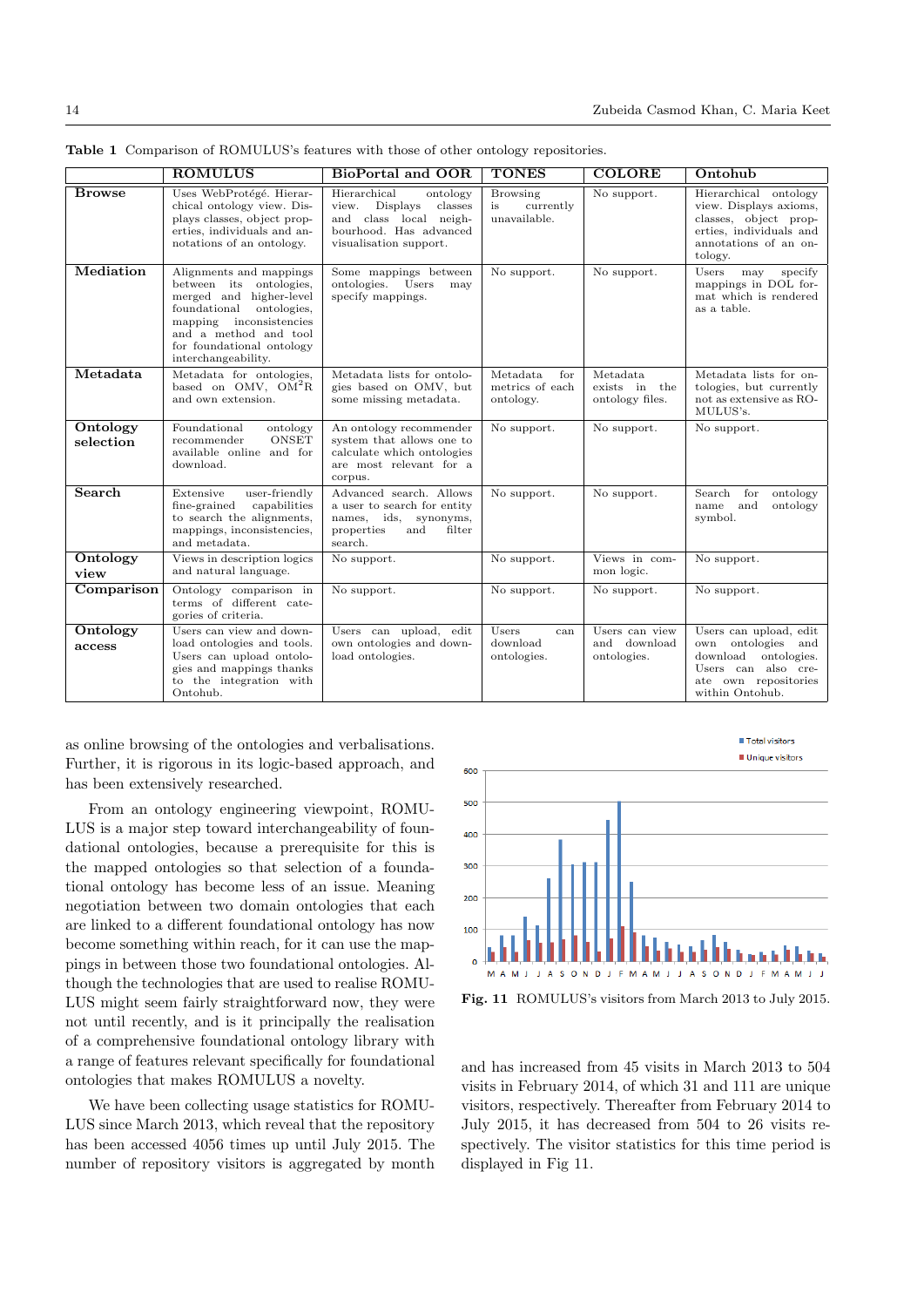|                       | <b>ROMULUS</b>                                                                                                                                                                                                       | BioPortal and OOR                                                                                                                      | <b>TONES</b>                                       | <b>COLORE</b>                                       | Ontohub                                                                                                                                      |
|-----------------------|----------------------------------------------------------------------------------------------------------------------------------------------------------------------------------------------------------------------|----------------------------------------------------------------------------------------------------------------------------------------|----------------------------------------------------|-----------------------------------------------------|----------------------------------------------------------------------------------------------------------------------------------------------|
|                       |                                                                                                                                                                                                                      |                                                                                                                                        |                                                    |                                                     |                                                                                                                                              |
| <b>Browse</b>         | Uses WebProtégé. Hierar-<br>chical ontology view. Dis-<br>plays classes, object prop-<br>erties, individuals and an-<br>notations of an ontology.                                                                    | Hierarchical<br>ontology<br>Displays<br>classes<br>view.<br>and class local neigh-<br>bourhood. Has advanced<br>visualisation support. | <b>Browsing</b><br>is<br>currently<br>unavailable. | No support.                                         | Hierarchical ontology<br>view. Displays axioms,<br>classes, object prop-<br>erties, individuals and<br>annotations of an on-<br>tology.      |
| Mediation             | Alignments and mappings<br>between its ontologies,<br>merged and higher-level<br>foundational<br>ontologies,<br>mapping inconsistencies<br>and a method and tool<br>for foundational ontology<br>interchangeability. | Some mappings between<br>ontologies. Users<br>may<br>specify mappings.                                                                 | No support.                                        | No support.                                         | Users<br>may<br>specify<br>mappings in DOL for-<br>mat which is rendered<br>as a table.                                                      |
| Metadata              | Metadata for ontologies,<br>based on $OMV$ , $OM2R$<br>and own extension.                                                                                                                                            | Metadata lists for ontolo-<br>gies based on OMV, but<br>some missing metadata.                                                         | Metadata.<br>for<br>metrics of each<br>ontology.   | <b>Metadata</b><br>exists in the<br>ontology files. | Metadata lists for on-<br>tologies, but currently<br>not as extensive as RO-<br>MULUS's.                                                     |
| Ontology<br>selection | Foundational<br>ontology<br><b>ONSET</b><br>recommender<br>available online and for<br>download.                                                                                                                     | An ontology recommender<br>system that allows one to<br>calculate which ontologies<br>are most relevant for a<br>corpus.               | No support.                                        | No support.                                         | No support.                                                                                                                                  |
| Search                | Extensive<br>user-friendly<br>capabilities<br>fine-grained<br>to search the alignments,<br>mappings, inconsistencies,<br>and metadata.                                                                               | Advanced search. Allows<br>a user to search for entity<br>names, ids,<br>synonyms,<br>properties<br>and<br>filter<br>search.           | No support.                                        | No support.                                         | Search<br>for<br>ontology<br>and<br>ontology<br>name<br>symbol.                                                                              |
| Ontology<br>view      | Views in description logics<br>and natural language.                                                                                                                                                                 | No support.                                                                                                                            | No support.                                        | Views in com-<br>mon logic.                         | No support.                                                                                                                                  |
| Comparison            | Ontology comparison in<br>terms of different cate-<br>gories of criteria.                                                                                                                                            | No support.                                                                                                                            | No support.                                        | No support.                                         | No support.                                                                                                                                  |
| Ontology<br>access    | Users can view and down-<br>load ontologies and tools.<br>Users can upload ontolo-<br>gies and mappings thanks<br>to the integration with<br>Ontohub.                                                                | Users can upload, edit<br>own ontologies and down-<br>load ontologies.                                                                 | Users<br>can<br>download<br>ontologies.            | Users can view<br>and download<br>ontologies.       | Users can upload, edit<br>own ontologies<br>and<br>download<br>ontologies.<br>Users can also cre-<br>ate own repositories<br>within Ontohub. |

Table 1 Comparison of ROMULUS's features with those of other ontology repositories.

as online browsing of the ontologies and verbalisations. Further, it is rigorous in its logic-based approach, and has been extensively researched.

From an ontology engineering viewpoint, ROMU-LUS is a major step toward interchangeability of foundational ontologies, because a prerequisite for this is the mapped ontologies so that selection of a foundational ontology has become less of an issue. Meaning negotiation between two domain ontologies that each are linked to a different foundational ontology has now become something within reach, for it can use the mappings in between those two foundational ontologies. Although the technologies that are used to realise ROMU-LUS might seem fairly straightforward now, they were not until recently, and is it principally the realisation of a comprehensive foundational ontology library with a range of features relevant specifically for foundational ontologies that makes ROMULUS a novelty.

We have been collecting usage statistics for ROMU-LUS since March 2013, which reveal that the repository has been accessed 4056 times up until July 2015. The number of repository visitors is aggregated by month



Fig. 11 ROMULUS's visitors from March 2013 to July 2015.

and has increased from 45 visits in March 2013 to 504 visits in February 2014, of which 31 and 111 are unique visitors, respectively. Thereafter from February 2014 to July 2015, it has decreased from 504 to 26 visits respectively. The visitor statistics for this time period is displayed in Fig 11.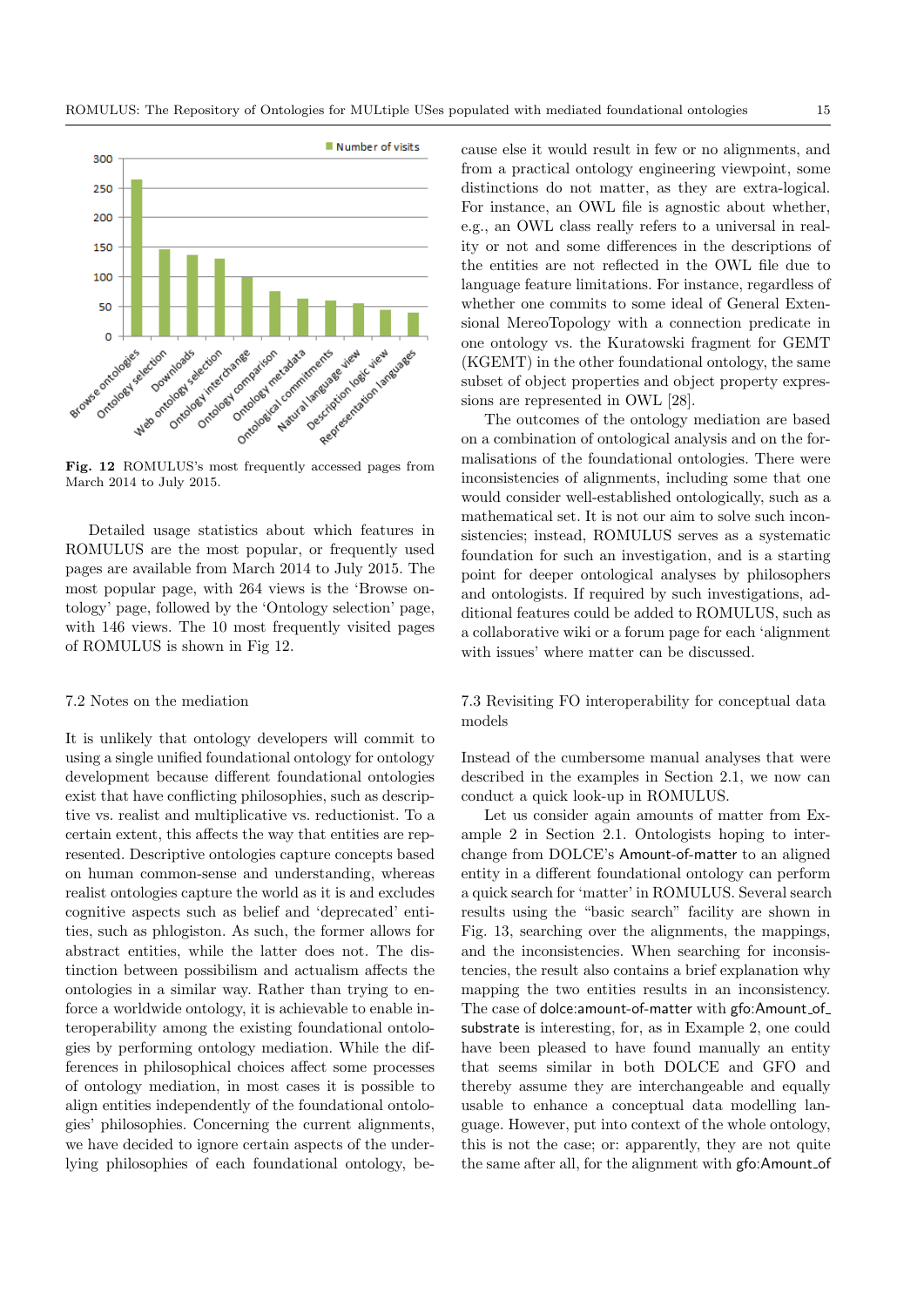

March 2014 to July 2015.

Detailed usage statistics about which features in ROMULUS are the most popular, or frequently used pages are available from March 2014 to July 2015. The most popular page, with 264 views is the 'Browse ontology' page, followed by the 'Ontology selection' page, with 146 views. The 10 most frequently visited pages of ROMULUS is shown in Fig 12.

#### 7.2 Notes on the mediation

It is unlikely that ontology developers will commit to using a single unified foundational ontology for ontology development because different foundational ontologies exist that have conflicting philosophies, such as descriptive vs. realist and multiplicative vs. reductionist. To a certain extent, this affects the way that entities are represented. Descriptive ontologies capture concepts based on human common-sense and understanding, whereas realist ontologies capture the world as it is and excludes cognitive aspects such as belief and 'deprecated' entities, such as phlogiston. As such, the former allows for abstract entities, while the latter does not. The distinction between possibilism and actualism affects the ontologies in a similar way. Rather than trying to enforce a worldwide ontology, it is achievable to enable interoperability among the existing foundational ontologies by performing ontology mediation. While the differences in philosophical choices affect some processes of ontology mediation, in most cases it is possible to align entities independently of the foundational ontologies' philosophies. Concerning the current alignments, we have decided to ignore certain aspects of the underlying philosophies of each foundational ontology, because else it would result in few or no alignments, and from a practical ontology engineering viewpoint, some distinctions do not matter, as they are extra-logical. For instance, an OWL file is agnostic about whether, e.g., an OWL class really refers to a universal in reality or not and some differences in the descriptions of the entities are not reflected in the OWL file due to language feature limitations. For instance, regardless of whether one commits to some ideal of General Extensional MereoTopology with a connection predicate in one ontology vs. the Kuratowski fragment for GEMT (KGEMT) in the other foundational ontology, the same subset of object properties and object property expressions are represented in OWL [28].

The outcomes of the ontology mediation are based on a combination of ontological analysis and on the formalisations of the foundational ontologies. There were inconsistencies of alignments, including some that one would consider well-established ontologically, such as a mathematical set. It is not our aim to solve such inconsistencies; instead, ROMULUS serves as a systematic foundation for such an investigation, and is a starting point for deeper ontological analyses by philosophers and ontologists. If required by such investigations, additional features could be added to ROMULUS, such as a collaborative wiki or a forum page for each 'alignment with issues' where matter can be discussed.

7.3 Revisiting FO interoperability for conceptual data models

Instead of the cumbersome manual analyses that were described in the examples in Section 2.1, we now can conduct a quick look-up in ROMULUS.

Let us consider again amounts of matter from Example 2 in Section 2.1. Ontologists hoping to interchange from DOLCE's Amount-of-matter to an aligned entity in a different foundational ontology can perform a quick search for 'matter' in ROMULUS. Several search results using the "basic search" facility are shown in Fig. 13, searching over the alignments, the mappings, and the inconsistencies. When searching for inconsistencies, the result also contains a brief explanation why mapping the two entities results in an inconsistency. The case of dolce: amount-of-matter with gfo: Amount\_of\_ substrate is interesting, for, as in Example 2, one could have been pleased to have found manually an entity that seems similar in both DOLCE and GFO and thereby assume they are interchangeable and equally usable to enhance a conceptual data modelling language. However, put into context of the whole ontology, this is not the case; or: apparently, they are not quite the same after all, for the alignment with gfo:Amount\_of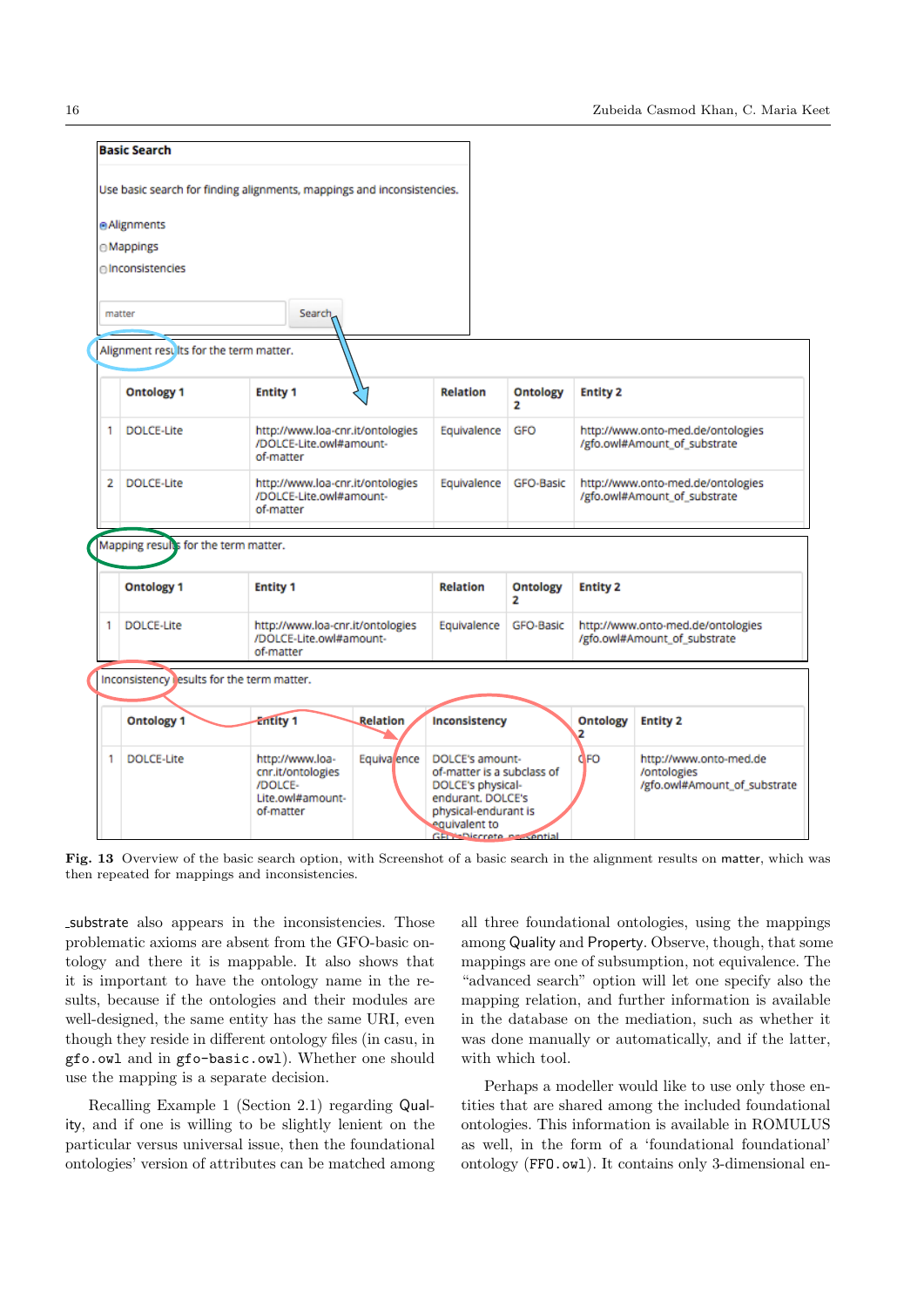

Fig. 13 Overview of the basic search option, with Screenshot of a basic search in the alignment results on matter, which was then repeated for mappings and inconsistencies.

substrate also appears in the inconsistencies. Those problematic axioms are absent from the GFO-basic ontology and there it is mappable. It also shows that it is important to have the ontology name in the results, because if the ontologies and their modules are well-designed, the same entity has the same URI, even though they reside in different ontology files (in casu, in gfo.owl and in gfo-basic.owl). Whether one should use the mapping is a separate decision.

Recalling Example 1 (Section 2.1) regarding Quality, and if one is willing to be slightly lenient on the particular versus universal issue, then the foundational ontologies' version of attributes can be matched among

all three foundational ontologies, using the mappings among Quality and Property. Observe, though, that some mappings are one of subsumption, not equivalence. The "advanced search" option will let one specify also the mapping relation, and further information is available in the database on the mediation, such as whether it was done manually or automatically, and if the latter, with which tool.

Perhaps a modeller would like to use only those entities that are shared among the included foundational ontologies. This information is available in ROMULUS as well, in the form of a 'foundational foundational' ontology (FFO.owl). It contains only 3-dimensional en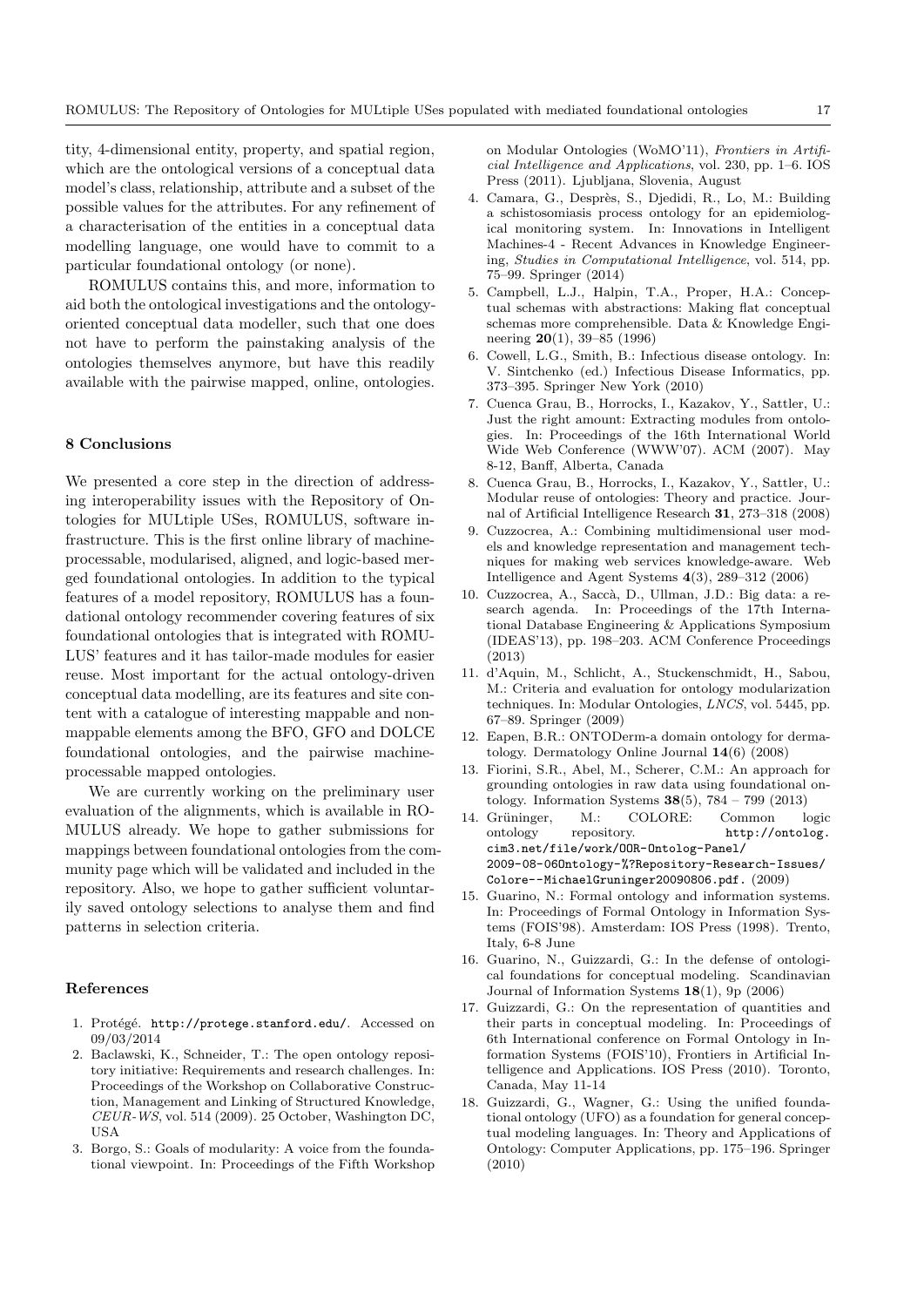tity, 4-dimensional entity, property, and spatial region, which are the ontological versions of a conceptual data model's class, relationship, attribute and a subset of the possible values for the attributes. For any refinement of a characterisation of the entities in a conceptual data modelling language, one would have to commit to a particular foundational ontology (or none).

ROMULUS contains this, and more, information to aid both the ontological investigations and the ontologyoriented conceptual data modeller, such that one does not have to perform the painstaking analysis of the ontologies themselves anymore, but have this readily available with the pairwise mapped, online, ontologies.

# 8 Conclusions

We presented a core step in the direction of addressing interoperability issues with the Repository of Ontologies for MULtiple USes, ROMULUS, software infrastructure. This is the first online library of machineprocessable, modularised, aligned, and logic-based merged foundational ontologies. In addition to the typical features of a model repository, ROMULUS has a foundational ontology recommender covering features of six foundational ontologies that is integrated with ROMU-LUS' features and it has tailor-made modules for easier reuse. Most important for the actual ontology-driven conceptual data modelling, are its features and site content with a catalogue of interesting mappable and nonmappable elements among the BFO, GFO and DOLCE foundational ontologies, and the pairwise machineprocessable mapped ontologies.

We are currently working on the preliminary user evaluation of the alignments, which is available in RO-MULUS already. We hope to gather submissions for mappings between foundational ontologies from the community page which will be validated and included in the repository. Also, we hope to gather sufficient voluntarily saved ontology selections to analyse them and find patterns in selection criteria.

#### References

- 1. Protégé. http://protege.stanford.edu/. Accessed on 09/03/2014
- 2. Baclawski, K., Schneider, T.: The open ontology repository initiative: Requirements and research challenges. In: Proceedings of the Workshop on Collaborative Construction, Management and Linking of Structured Knowledge, CEUR-WS, vol. 514 (2009). 25 October, Washington DC, USA
- 3. Borgo, S.: Goals of modularity: A voice from the foundational viewpoint. In: Proceedings of the Fifth Workshop

on Modular Ontologies (WoMO'11), Frontiers in Artificial Intelligence and Applications, vol. 230, pp. 1–6. IOS Press (2011). Ljubljana, Slovenia, August

- 4. Camara, G., Desprès, S., Djedidi, R., Lo, M.: Building a schistosomiasis process ontology for an epidemiological monitoring system. In: Innovations in Intelligent Machines-4 - Recent Advances in Knowledge Engineering, Studies in Computational Intelligence, vol. 514, pp. 75–99. Springer (2014)
- 5. Campbell, L.J., Halpin, T.A., Proper, H.A.: Conceptual schemas with abstractions: Making flat conceptual schemas more comprehensible. Data & Knowledge Engineering 20(1), 39–85 (1996)
- 6. Cowell, L.G., Smith, B.: Infectious disease ontology. In: V. Sintchenko (ed.) Infectious Disease Informatics, pp. 373–395. Springer New York (2010)
- 7. Cuenca Grau, B., Horrocks, I., Kazakov, Y., Sattler, U.: Just the right amount: Extracting modules from ontologies. In: Proceedings of the 16th International World Wide Web Conference (WWW'07). ACM (2007). May 8-12, Banff, Alberta, Canada
- 8. Cuenca Grau, B., Horrocks, I., Kazakov, Y., Sattler, U.: Modular reuse of ontologies: Theory and practice. Journal of Artificial Intelligence Research 31, 273–318 (2008)
- 9. Cuzzocrea, A.: Combining multidimensional user models and knowledge representation and management techniques for making web services knowledge-aware. Web Intelligence and Agent Systems 4(3), 289–312 (2006)
- 10. Cuzzocrea, A., Saccà, D., Ullman, J.D.: Big data: a research agenda. In: Proceedings of the 17th International Database Engineering & Applications Symposium (IDEAS'13), pp. 198–203. ACM Conference Proceedings (2013)
- 11. d'Aquin, M., Schlicht, A., Stuckenschmidt, H., Sabou, M.: Criteria and evaluation for ontology modularization techniques. In: Modular Ontologies, LNCS, vol. 5445, pp. 67–89. Springer (2009)
- 12. Eapen, B.R.: ONTODerm-a domain ontology for dermatology. Dermatology Online Journal 14(6) (2008)
- 13. Fiorini, S.R., Abel, M., Scherer, C.M.: An approach for grounding ontologies in raw data using foundational ontology. Information Systems  $38(5)$ ,  $784 - 799$  (2013)
- 14. Grüninger, M.: COLORE: Common logic ontology repository. http://ontolog. cim3.net/file/work/OOR-Ontolog-Panel/ 2009-08-06Ontology-%?Repository-Research-Issues/ Colore--MichaelGruninger20090806.pdf. (2009)
- 15. Guarino, N.: Formal ontology and information systems. In: Proceedings of Formal Ontology in Information Systems (FOIS'98). Amsterdam: IOS Press (1998). Trento, Italy, 6-8 June
- 16. Guarino, N., Guizzardi, G.: In the defense of ontological foundations for conceptual modeling. Scandinavian Journal of Information Systems 18(1), 9p (2006)
- 17. Guizzardi, G.: On the representation of quantities and their parts in conceptual modeling. In: Proceedings of 6th International conference on Formal Ontology in Information Systems (FOIS'10), Frontiers in Artificial Intelligence and Applications. IOS Press (2010). Toronto, Canada, May 11-14
- 18. Guizzardi, G., Wagner, G.: Using the unified foundational ontology (UFO) as a foundation for general conceptual modeling languages. In: Theory and Applications of Ontology: Computer Applications, pp. 175–196. Springer (2010)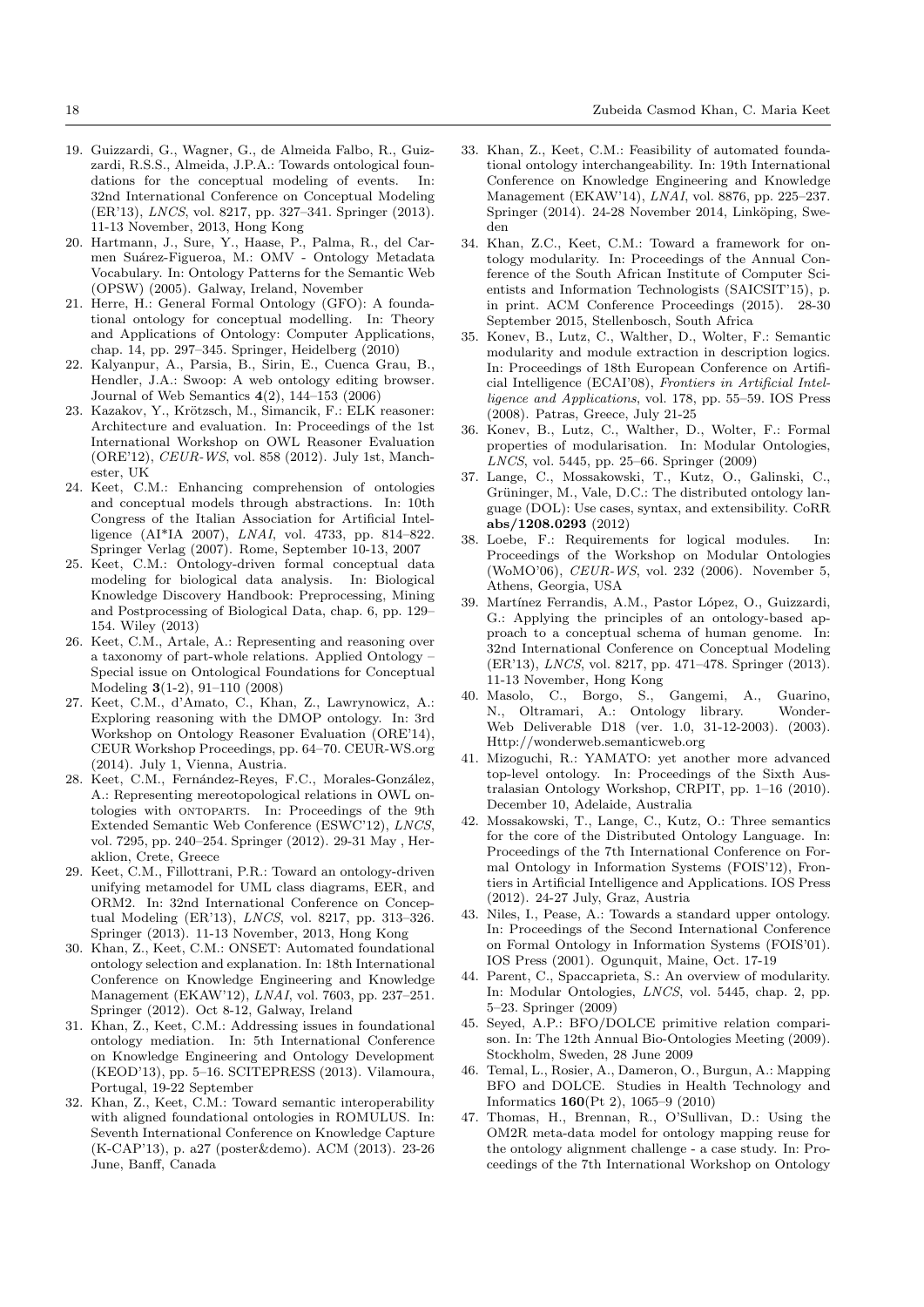- 19. Guizzardi, G., Wagner, G., de Almeida Falbo, R., Guizzardi, R.S.S., Almeida, J.P.A.: Towards ontological foundations for the conceptual modeling of events. In: 32nd International Conference on Conceptual Modeling (ER'13), LNCS, vol. 8217, pp. 327–341. Springer (2013). 11-13 November, 2013, Hong Kong
- 20. Hartmann, J., Sure, Y., Haase, P., Palma, R., del Carmen Suárez-Figueroa, M.: OMV - Ontology Metadata Vocabulary. In: Ontology Patterns for the Semantic Web (OPSW) (2005). Galway, Ireland, November
- 21. Herre, H.: General Formal Ontology (GFO): A foundational ontology for conceptual modelling. In: Theory and Applications of Ontology: Computer Applications, chap. 14, pp. 297–345. Springer, Heidelberg (2010)
- 22. Kalyanpur, A., Parsia, B., Sirin, E., Cuenca Grau, B., Hendler, J.A.: Swoop: A web ontology editing browser. Journal of Web Semantics 4(2), 144–153 (2006)
- 23. Kazakov, Y., Krötzsch, M., Simancik, F.: ELK reasoner: Architecture and evaluation. In: Proceedings of the 1st International Workshop on OWL Reasoner Evaluation (ORE'12), CEUR-WS, vol. 858 (2012). July 1st, Manchester, UK
- 24. Keet, C.M.: Enhancing comprehension of ontologies and conceptual models through abstractions. In: 10th Congress of the Italian Association for Artificial Intelligence (AI\*IA 2007), LNAI, vol. 4733, pp. 814–822. Springer Verlag (2007). Rome, September 10-13, 2007
- 25. Keet, C.M.: Ontology-driven formal conceptual data modeling for biological data analysis. In: Biological Knowledge Discovery Handbook: Preprocessing, Mining and Postprocessing of Biological Data, chap. 6, pp. 129– 154. Wiley (2013)
- 26. Keet, C.M., Artale, A.: Representing and reasoning over a taxonomy of part-whole relations. Applied Ontology – Special issue on Ontological Foundations for Conceptual Modeling 3(1-2), 91–110 (2008)
- 27. Keet, C.M., d'Amato, C., Khan, Z., Lawrynowicz, A.: Exploring reasoning with the DMOP ontology. In: 3rd Workshop on Ontology Reasoner Evaluation (ORE'14), CEUR Workshop Proceedings, pp. 64–70. CEUR-WS.org (2014). July 1, Vienna, Austria.
- 28. Keet, C.M., Fernández-Reyes, F.C., Morales-González, A.: Representing mereotopological relations in OWL ontologies with ontoparts. In: Proceedings of the 9th Extended Semantic Web Conference (ESWC'12), LNCS, vol. 7295, pp. 240–254. Springer (2012). 29-31 May , Heraklion, Crete, Greece
- 29. Keet, C.M., Fillottrani, P.R.: Toward an ontology-driven unifying metamodel for UML class diagrams, EER, and ORM2. In: 32nd International Conference on Conceptual Modeling (ER'13), LNCS, vol. 8217, pp. 313–326. Springer (2013). 11-13 November, 2013, Hong Kong
- 30. Khan, Z., Keet, C.M.: ONSET: Automated foundational ontology selection and explanation. In: 18th International Conference on Knowledge Engineering and Knowledge Management (EKAW'12), LNAI, vol. 7603, pp. 237–251. Springer (2012). Oct 8-12, Galway, Ireland
- 31. Khan, Z., Keet, C.M.: Addressing issues in foundational ontology mediation. In: 5th International Conference on Knowledge Engineering and Ontology Development (KEOD'13), pp. 5–16. SCITEPRESS (2013). Vilamoura, Portugal, 19-22 September
- 32. Khan, Z., Keet, C.M.: Toward semantic interoperability with aligned foundational ontologies in ROMULUS. In: Seventh International Conference on Knowledge Capture (K-CAP'13), p. a27 (poster&demo). ACM (2013). 23-26 June, Banff, Canada
- 33. Khan, Z., Keet, C.M.: Feasibility of automated foundational ontology interchangeability. In: 19th International Conference on Knowledge Engineering and Knowledge Management (EKAW'14), LNAI, vol. 8876, pp. 225–237. Springer (2014). 24-28 November 2014, Linköping, Sweden
- 34. Khan, Z.C., Keet, C.M.: Toward a framework for ontology modularity. In: Proceedings of the Annual Conference of the South African Institute of Computer Scientists and Information Technologists (SAICSIT'15), p. in print. ACM Conference Proceedings (2015). 28-30 September 2015, Stellenbosch, South Africa
- 35. Konev, B., Lutz, C., Walther, D., Wolter, F.: Semantic modularity and module extraction in description logics. In: Proceedings of 18th European Conference on Artificial Intelligence (ECAI'08), Frontiers in Artificial Intelligence and Applications, vol. 178, pp. 55–59. IOS Press (2008). Patras, Greece, July 21-25
- 36. Konev, B., Lutz, C., Walther, D., Wolter, F.: Formal properties of modularisation. In: Modular Ontologies, LNCS, vol. 5445, pp. 25–66. Springer (2009)
- 37. Lange, C., Mossakowski, T., Kutz, O., Galinski, C., Grüninger, M., Vale, D.C.: The distributed ontology language (DOL): Use cases, syntax, and extensibility. CoRR abs/1208.0293 (2012)
- 38. Loebe, F.: Requirements for logical modules. In: Proceedings of the Workshop on Modular Ontologies (WoMO'06), CEUR-WS, vol. 232 (2006). November 5, Athens, Georgia, USA
- 39. Martínez Ferrandis, A.M., Pastor López, O., Guizzardi, G.: Applying the principles of an ontology-based approach to a conceptual schema of human genome. In: 32nd International Conference on Conceptual Modeling (ER'13), LNCS, vol. 8217, pp. 471–478. Springer (2013). 11-13 November, Hong Kong
- 40. Masolo, C., Borgo, S., Gangemi, A., Guarino, N., Oltramari, A.: Ontology library. Wonder-Web Deliverable D18 (ver. 1.0, 31-12-2003). (2003). Http://wonderweb.semanticweb.org
- 41. Mizoguchi, R.: YAMATO: yet another more advanced top-level ontology. In: Proceedings of the Sixth Australasian Ontology Workshop, CRPIT, pp. 1–16 (2010). December 10, Adelaide, Australia
- 42. Mossakowski, T., Lange, C., Kutz, O.: Three semantics for the core of the Distributed Ontology Language. In: Proceedings of the 7th International Conference on Formal Ontology in Information Systems (FOIS'12), Frontiers in Artificial Intelligence and Applications. IOS Press (2012). 24-27 July, Graz, Austria
- 43. Niles, I., Pease, A.: Towards a standard upper ontology. In: Proceedings of the Second International Conference on Formal Ontology in Information Systems (FOIS'01). IOS Press (2001). Ogunquit, Maine, Oct. 17-19
- 44. Parent, C., Spaccaprieta, S.: An overview of modularity. In: Modular Ontologies, LNCS, vol. 5445, chap. 2, pp. 5–23. Springer (2009)
- 45. Seyed, A.P.: BFO/DOLCE primitive relation comparison. In: The 12th Annual Bio-Ontologies Meeting (2009). Stockholm, Sweden, 28 June 2009
- 46. Temal, L., Rosier, A., Dameron, O., Burgun, A.: Mapping BFO and DOLCE. Studies in Health Technology and Informatics 160(Pt 2), 1065–9 (2010)
- 47. Thomas, H., Brennan, R., O'Sullivan, D.: Using the OM2R meta-data model for ontology mapping reuse for the ontology alignment challenge - a case study. In: Proceedings of the 7th International Workshop on Ontology